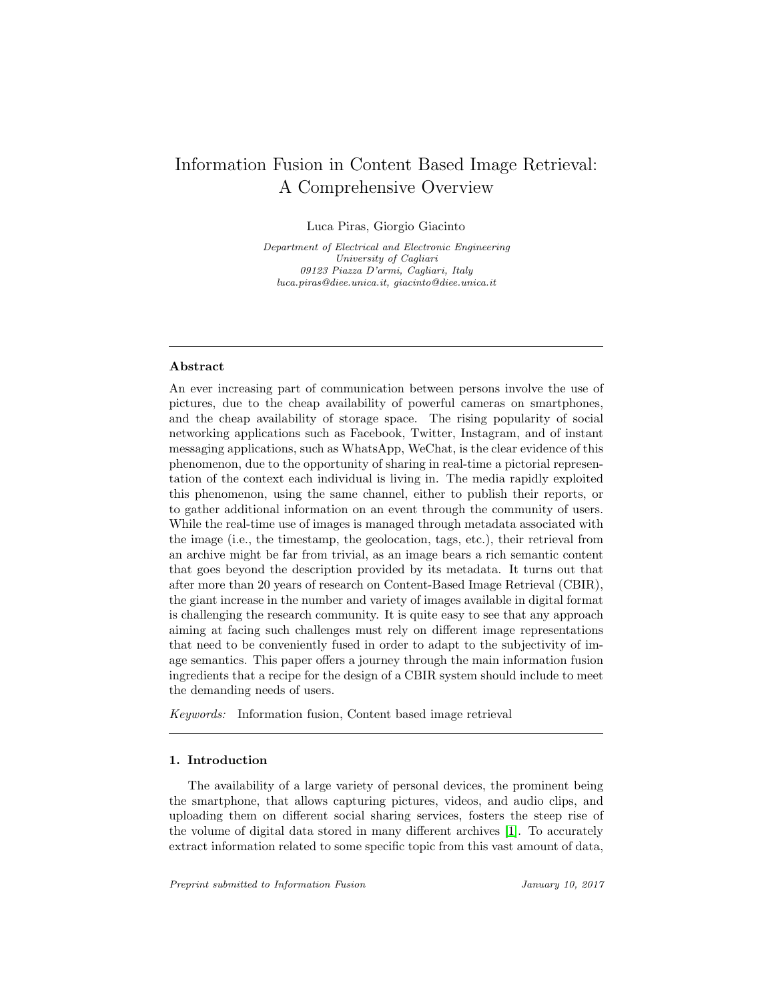# Information Fusion in Content Based Image Retrieval: A Comprehensive Overview

Luca Piras, Giorgio Giacinto

Department of Electrical and Electronic Engineering University of Cagliari 09123 Piazza D'armi, Cagliari, Italy luca.piras@diee.unica.it, giacinto@diee.unica.it

## Abstract

An ever increasing part of communication between persons involve the use of pictures, due to the cheap availability of powerful cameras on smartphones, and the cheap availability of storage space. The rising popularity of social networking applications such as Facebook, Twitter, Instagram, and of instant messaging applications, such as WhatsApp, WeChat, is the clear evidence of this phenomenon, due to the opportunity of sharing in real-time a pictorial representation of the context each individual is living in. The media rapidly exploited this phenomenon, using the same channel, either to publish their reports, or to gather additional information on an event through the community of users. While the real-time use of images is managed through metadata associated with the image (i.e., the timestamp, the geolocation, tags, etc.), their retrieval from an archive might be far from trivial, as an image bears a rich semantic content that goes beyond the description provided by its metadata. It turns out that after more than 20 years of research on Content-Based Image Retrieval (CBIR), the giant increase in the number and variety of images available in digital format is challenging the research community. It is quite easy to see that any approach aiming at facing such challenges must rely on different image representations that need to be conveniently fused in order to adapt to the subjectivity of image semantics. This paper offers a journey through the main information fusion ingredients that a recipe for the design of a CBIR system should include to meet the demanding needs of users.

Keywords: Information fusion, Content based image retrieval

#### 1. Introduction

The availability of a large variety of personal devices, the prominent being the smartphone, that allows capturing pictures, videos, and audio clips, and uploading them on different social sharing services, fosters the steep rise of the volume of digital data stored in many different archives [\[1\]](#page-18-0). To accurately extract information related to some specific topic from this vast amount of data,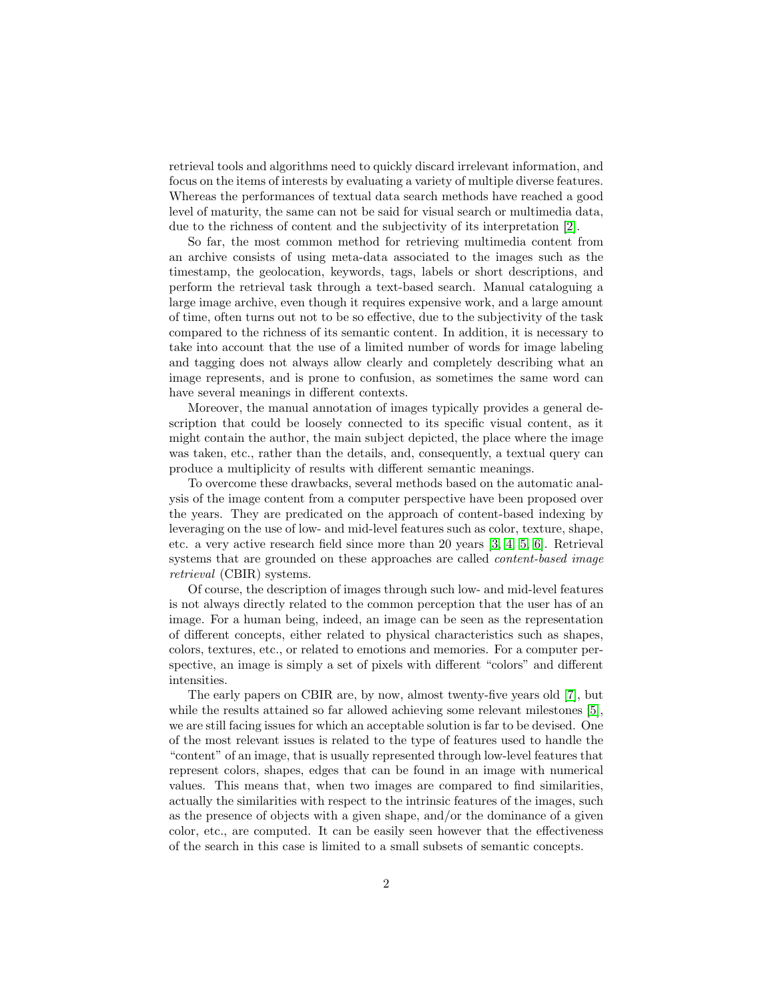retrieval tools and algorithms need to quickly discard irrelevant information, and focus on the items of interests by evaluating a variety of multiple diverse features. Whereas the performances of textual data search methods have reached a good level of maturity, the same can not be said for visual search or multimedia data, due to the richness of content and the subjectivity of its interpretation [\[2\]](#page-18-1).

So far, the most common method for retrieving multimedia content from an archive consists of using meta-data associated to the images such as the timestamp, the geolocation, keywords, tags, labels or short descriptions, and perform the retrieval task through a text-based search. Manual cataloguing a large image archive, even though it requires expensive work, and a large amount of time, often turns out not to be so effective, due to the subjectivity of the task compared to the richness of its semantic content. In addition, it is necessary to take into account that the use of a limited number of words for image labeling and tagging does not always allow clearly and completely describing what an image represents, and is prone to confusion, as sometimes the same word can have several meanings in different contexts.

Moreover, the manual annotation of images typically provides a general description that could be loosely connected to its specific visual content, as it might contain the author, the main subject depicted, the place where the image was taken, etc., rather than the details, and, consequently, a textual query can produce a multiplicity of results with different semantic meanings.

To overcome these drawbacks, several methods based on the automatic analysis of the image content from a computer perspective have been proposed over the years. They are predicated on the approach of content-based indexing by leveraging on the use of low- and mid-level features such as color, texture, shape, etc. a very active research field since more than 20 years [\[3,](#page-18-2) [4,](#page-18-3) [5,](#page-18-4) [6\]](#page-18-5). Retrieval systems that are grounded on these approaches are called *content-based image* retrieval (CBIR) systems.

Of course, the description of images through such low- and mid-level features is not always directly related to the common perception that the user has of an image. For a human being, indeed, an image can be seen as the representation of different concepts, either related to physical characteristics such as shapes, colors, textures, etc., or related to emotions and memories. For a computer perspective, an image is simply a set of pixels with different "colors" and different intensities.

The early papers on CBIR are, by now, almost twenty-five years old [\[7\]](#page-18-6), but while the results attained so far allowed achieving some relevant milestones [\[5\]](#page-18-4), we are still facing issues for which an acceptable solution is far to be devised. One of the most relevant issues is related to the type of features used to handle the "content" of an image, that is usually represented through low-level features that represent colors, shapes, edges that can be found in an image with numerical values. This means that, when two images are compared to find similarities, actually the similarities with respect to the intrinsic features of the images, such as the presence of objects with a given shape, and/or the dominance of a given color, etc., are computed. It can be easily seen however that the effectiveness of the search in this case is limited to a small subsets of semantic concepts.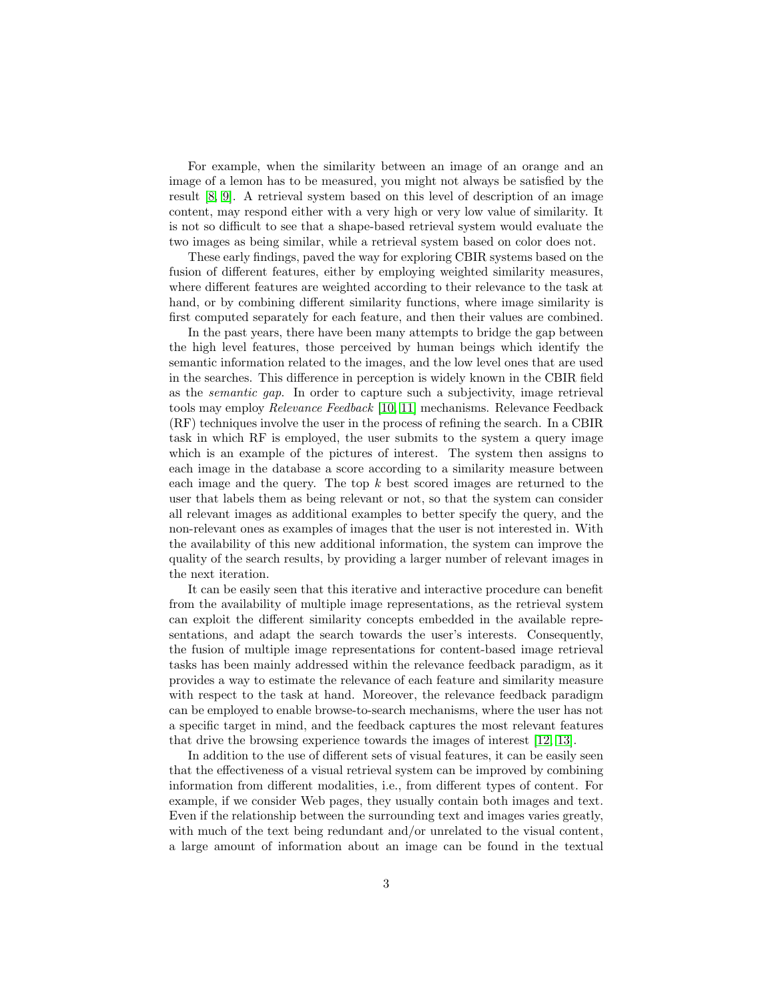For example, when the similarity between an image of an orange and an image of a lemon has to be measured, you might not always be satisfied by the result [\[8,](#page-18-7) [9\]](#page-19-0). A retrieval system based on this level of description of an image content, may respond either with a very high or very low value of similarity. It is not so difficult to see that a shape-based retrieval system would evaluate the two images as being similar, while a retrieval system based on color does not.

These early findings, paved the way for exploring CBIR systems based on the fusion of different features, either by employing weighted similarity measures, where different features are weighted according to their relevance to the task at hand, or by combining different similarity functions, where image similarity is first computed separately for each feature, and then their values are combined.

In the past years, there have been many attempts to bridge the gap between the high level features, those perceived by human beings which identify the semantic information related to the images, and the low level ones that are used in the searches. This difference in perception is widely known in the CBIR field as the semantic gap. In order to capture such a subjectivity, image retrieval tools may employ Relevance Feedback [\[10,](#page-19-1) [11\]](#page-19-2) mechanisms. Relevance Feedback (RF) techniques involve the user in the process of refining the search. In a CBIR task in which RF is employed, the user submits to the system a query image which is an example of the pictures of interest. The system then assigns to each image in the database a score according to a similarity measure between each image and the query. The top k best scored images are returned to the user that labels them as being relevant or not, so that the system can consider all relevant images as additional examples to better specify the query, and the non-relevant ones as examples of images that the user is not interested in. With the availability of this new additional information, the system can improve the quality of the search results, by providing a larger number of relevant images in the next iteration.

It can be easily seen that this iterative and interactive procedure can benefit from the availability of multiple image representations, as the retrieval system can exploit the different similarity concepts embedded in the available representations, and adapt the search towards the user's interests. Consequently, the fusion of multiple image representations for content-based image retrieval tasks has been mainly addressed within the relevance feedback paradigm, as it provides a way to estimate the relevance of each feature and similarity measure with respect to the task at hand. Moreover, the relevance feedback paradigm can be employed to enable browse-to-search mechanisms, where the user has not a specific target in mind, and the feedback captures the most relevant features that drive the browsing experience towards the images of interest [\[12,](#page-19-3) [13\]](#page-19-4).

In addition to the use of different sets of visual features, it can be easily seen that the effectiveness of a visual retrieval system can be improved by combining information from different modalities, i.e., from different types of content. For example, if we consider Web pages, they usually contain both images and text. Even if the relationship between the surrounding text and images varies greatly, with much of the text being redundant and/or unrelated to the visual content, a large amount of information about an image can be found in the textual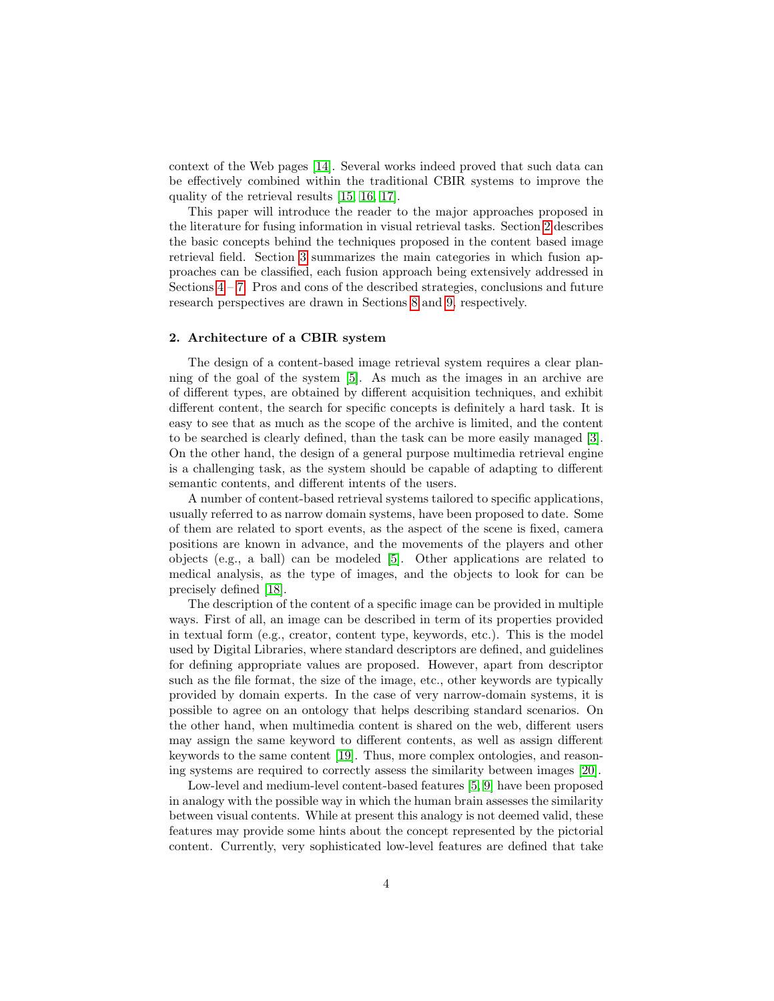context of the Web pages [\[14\]](#page-19-5). Several works indeed proved that such data can be effectively combined within the traditional CBIR systems to improve the quality of the retrieval results [\[15,](#page-19-6) [16,](#page-19-7) [17\]](#page-19-8).

This paper will introduce the reader to the major approaches proposed in the literature for fusing information in visual retrieval tasks. Section [2](#page-3-0) describes the basic concepts behind the techniques proposed in the content based image retrieval field. Section [3](#page-5-0) summarizes the main categories in which fusion approaches can be classified, each fusion approach being extensively addressed in Sections  $4 - 7$ . Pros and cons of the described strategies, conclusions and future research perspectives are drawn in Sections [8](#page-15-0) and [9,](#page-16-0) respectively.

#### <span id="page-3-0"></span>2. Architecture of a CBIR system

The design of a content-based image retrieval system requires a clear planning of the goal of the system [\[5\]](#page-18-4). As much as the images in an archive are of different types, are obtained by different acquisition techniques, and exhibit different content, the search for specific concepts is definitely a hard task. It is easy to see that as much as the scope of the archive is limited, and the content to be searched is clearly defined, than the task can be more easily managed [\[3\]](#page-18-2). On the other hand, the design of a general purpose multimedia retrieval engine is a challenging task, as the system should be capable of adapting to different semantic contents, and different intents of the users.

A number of content-based retrieval systems tailored to specific applications, usually referred to as narrow domain systems, have been proposed to date. Some of them are related to sport events, as the aspect of the scene is fixed, camera positions are known in advance, and the movements of the players and other objects (e.g., a ball) can be modeled [\[5\]](#page-18-4). Other applications are related to medical analysis, as the type of images, and the objects to look for can be precisely defined [\[18\]](#page-19-9).

The description of the content of a specific image can be provided in multiple ways. First of all, an image can be described in term of its properties provided in textual form (e.g., creator, content type, keywords, etc.). This is the model used by Digital Libraries, where standard descriptors are defined, and guidelines for defining appropriate values are proposed. However, apart from descriptor such as the file format, the size of the image, etc., other keywords are typically provided by domain experts. In the case of very narrow-domain systems, it is possible to agree on an ontology that helps describing standard scenarios. On the other hand, when multimedia content is shared on the web, different users may assign the same keyword to different contents, as well as assign different keywords to the same content [\[19\]](#page-19-10). Thus, more complex ontologies, and reasoning systems are required to correctly assess the similarity between images [\[20\]](#page-19-11).

Low-level and medium-level content-based features [\[5,](#page-18-4) [9\]](#page-19-0) have been proposed in analogy with the possible way in which the human brain assesses the similarity between visual contents. While at present this analogy is not deemed valid, these features may provide some hints about the concept represented by the pictorial content. Currently, very sophisticated low-level features are defined that take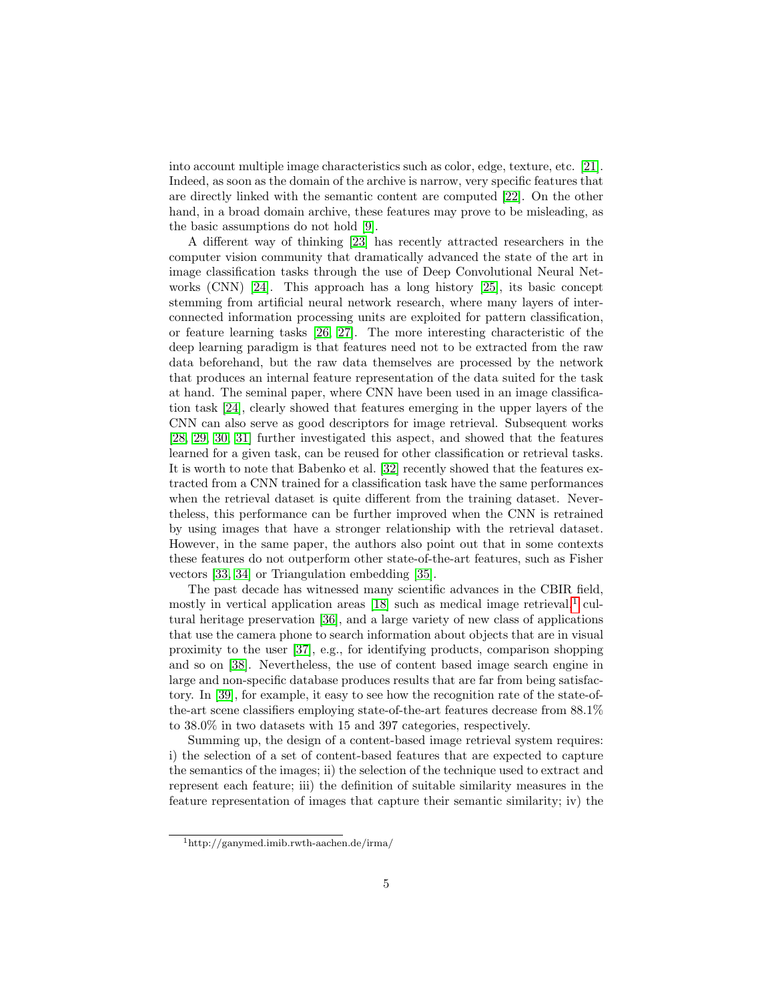into account multiple image characteristics such as color, edge, texture, etc. [\[21\]](#page-20-0). Indeed, as soon as the domain of the archive is narrow, very specific features that are directly linked with the semantic content are computed [\[22\]](#page-20-1). On the other hand, in a broad domain archive, these features may prove to be misleading, as the basic assumptions do not hold [\[9\]](#page-19-0).

A different way of thinking [\[23\]](#page-20-2) has recently attracted researchers in the computer vision community that dramatically advanced the state of the art in image classification tasks through the use of Deep Convolutional Neural Networks (CNN) [\[24\]](#page-20-3). This approach has a long history [\[25\]](#page-20-4), its basic concept stemming from artificial neural network research, where many layers of interconnected information processing units are exploited for pattern classification, or feature learning tasks [\[26,](#page-20-5) [27\]](#page-20-6). The more interesting characteristic of the deep learning paradigm is that features need not to be extracted from the raw data beforehand, but the raw data themselves are processed by the network that produces an internal feature representation of the data suited for the task at hand. The seminal paper, where CNN have been used in an image classification task [\[24\]](#page-20-3), clearly showed that features emerging in the upper layers of the CNN can also serve as good descriptors for image retrieval. Subsequent works [\[28,](#page-20-7) [29,](#page-20-8) [30,](#page-20-9) [31\]](#page-21-0) further investigated this aspect, and showed that the features learned for a given task, can be reused for other classification or retrieval tasks. It is worth to note that Babenko et al. [\[32\]](#page-21-1) recently showed that the features extracted from a CNN trained for a classification task have the same performances when the retrieval dataset is quite different from the training dataset. Nevertheless, this performance can be further improved when the CNN is retrained by using images that have a stronger relationship with the retrieval dataset. However, in the same paper, the authors also point out that in some contexts these features do not outperform other state-of-the-art features, such as Fisher vectors [\[33,](#page-21-2) [34\]](#page-21-3) or Triangulation embedding [\[35\]](#page-21-4).

The past decade has witnessed many scientific advances in the CBIR field, mostly in vertical application areas  $[18]$  such as medical image retrieval,<sup>[1](#page-4-0)</sup> cultural heritage preservation [\[36\]](#page-21-5), and a large variety of new class of applications that use the camera phone to search information about objects that are in visual proximity to the user [\[37\]](#page-21-6), e.g., for identifying products, comparison shopping and so on [\[38\]](#page-21-7). Nevertheless, the use of content based image search engine in large and non-specific database produces results that are far from being satisfactory. In [\[39\]](#page-21-8), for example, it easy to see how the recognition rate of the state-ofthe-art scene classifiers employing state-of-the-art features decrease from 88.1% to 38.0% in two datasets with 15 and 397 categories, respectively.

Summing up, the design of a content-based image retrieval system requires: i) the selection of a set of content-based features that are expected to capture the semantics of the images; ii) the selection of the technique used to extract and represent each feature; iii) the definition of suitable similarity measures in the feature representation of images that capture their semantic similarity; iv) the

<span id="page-4-0"></span> $1$ http://ganymed.imib.rwth-aachen.de/irma/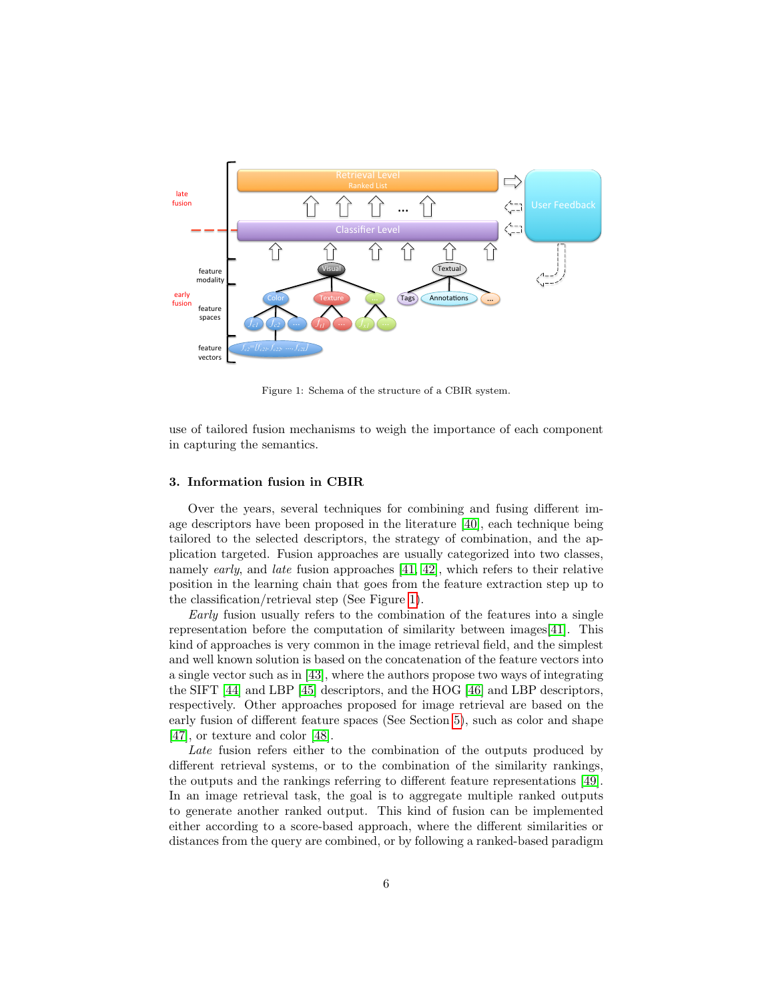

<span id="page-5-1"></span>Figure 1: Schema of the structure of a CBIR system.

use of tailored fusion mechanisms to weigh the importance of each component in capturing the semantics.

#### <span id="page-5-0"></span>3. Information fusion in CBIR

Over the years, several techniques for combining and fusing different image descriptors have been proposed in the literature [\[40\]](#page-21-9), each technique being tailored to the selected descriptors, the strategy of combination, and the application targeted. Fusion approaches are usually categorized into two classes, namely early, and late fusion approaches [\[41,](#page-21-10) [42\]](#page-22-0), which refers to their relative position in the learning chain that goes from the feature extraction step up to the classification/retrieval step (See Figure [1\)](#page-5-1).

Early fusion usually refers to the combination of the features into a single representation before the computation of similarity between images[\[41\]](#page-21-10). This kind of approaches is very common in the image retrieval field, and the simplest and well known solution is based on the concatenation of the feature vectors into a single vector such as in [\[43\]](#page-22-1), where the authors propose two ways of integrating the SIFT [\[44\]](#page-22-2) and LBP [\[45\]](#page-22-3) descriptors, and the HOG [\[46\]](#page-22-4) and LBP descriptors, respectively. Other approaches proposed for image retrieval are based on the early fusion of different feature spaces (See Section [5\)](#page-9-0), such as color and shape [\[47\]](#page-22-5), or texture and color [\[48\]](#page-22-6).

Late fusion refers either to the combination of the outputs produced by different retrieval systems, or to the combination of the similarity rankings, the outputs and the rankings referring to different feature representations [\[49\]](#page-22-7). In an image retrieval task, the goal is to aggregate multiple ranked outputs to generate another ranked output. This kind of fusion can be implemented either according to a score-based approach, where the different similarities or distances from the query are combined, or by following a ranked-based paradigm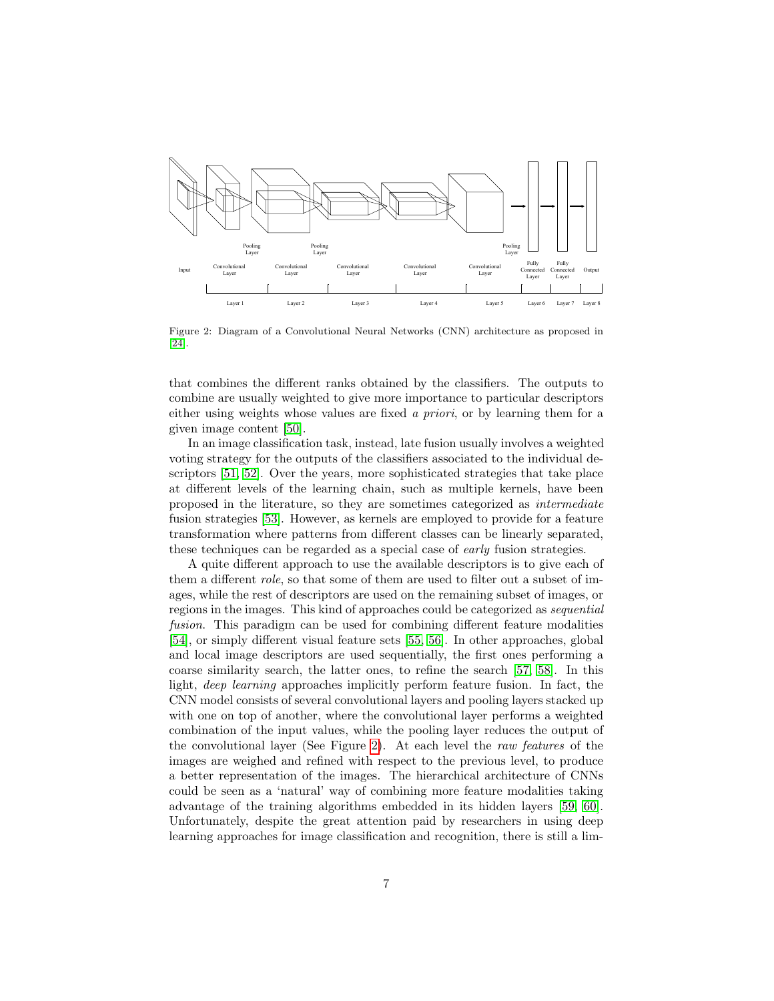

<span id="page-6-0"></span>Figure 2: Diagram of a Convolutional Neural Networks (CNN) architecture as proposed in [\[24\]](#page-20-3).

that combines the different ranks obtained by the classifiers. The outputs to combine are usually weighted to give more importance to particular descriptors either using weights whose values are fixed a priori, or by learning them for a given image content [\[50\]](#page-22-8).

In an image classification task, instead, late fusion usually involves a weighted voting strategy for the outputs of the classifiers associated to the individual descriptors [\[51,](#page-22-9) [52\]](#page-23-0). Over the years, more sophisticated strategies that take place at different levels of the learning chain, such as multiple kernels, have been proposed in the literature, so they are sometimes categorized as intermediate fusion strategies [\[53\]](#page-23-1). However, as kernels are employed to provide for a feature transformation where patterns from different classes can be linearly separated, these techniques can be regarded as a special case of early fusion strategies.

A quite different approach to use the available descriptors is to give each of them a different role, so that some of them are used to filter out a subset of images, while the rest of descriptors are used on the remaining subset of images, or regions in the images. This kind of approaches could be categorized as sequential fusion. This paradigm can be used for combining different feature modalities [\[54\]](#page-23-2), or simply different visual feature sets [\[55,](#page-23-3) [56\]](#page-23-4). In other approaches, global and local image descriptors are used sequentially, the first ones performing a coarse similarity search, the latter ones, to refine the search [\[57,](#page-23-5) [58\]](#page-23-6). In this light, deep learning approaches implicitly perform feature fusion. In fact, the CNN model consists of several convolutional layers and pooling layers stacked up with one on top of another, where the convolutional layer performs a weighted combination of the input values, while the pooling layer reduces the output of the convolutional layer (See Figure [2\)](#page-6-0). At each level the raw features of the images are weighed and refined with respect to the previous level, to produce a better representation of the images. The hierarchical architecture of CNNs could be seen as a 'natural' way of combining more feature modalities taking advantage of the training algorithms embedded in its hidden layers [\[59,](#page-23-7) [60\]](#page-23-8). Unfortunately, despite the great attention paid by researchers in using deep learning approaches for image classification and recognition, there is still a lim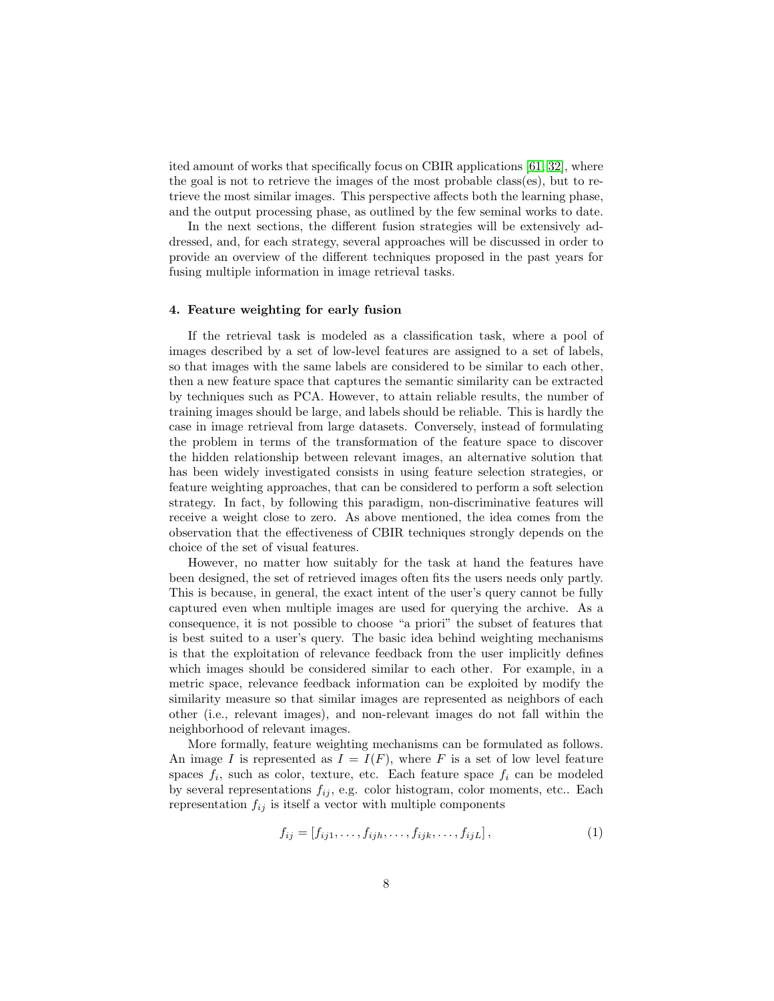ited amount of works that specifically focus on CBIR applications [\[61,](#page-23-9) [32\]](#page-21-1), where the goal is not to retrieve the images of the most probable class(es), but to retrieve the most similar images. This perspective affects both the learning phase, and the output processing phase, as outlined by the few seminal works to date.

In the next sections, the different fusion strategies will be extensively addressed, and, for each strategy, several approaches will be discussed in order to provide an overview of the different techniques proposed in the past years for fusing multiple information in image retrieval tasks.

#### <span id="page-7-0"></span>4. Feature weighting for early fusion

If the retrieval task is modeled as a classification task, where a pool of images described by a set of low-level features are assigned to a set of labels, so that images with the same labels are considered to be similar to each other, then a new feature space that captures the semantic similarity can be extracted by techniques such as PCA. However, to attain reliable results, the number of training images should be large, and labels should be reliable. This is hardly the case in image retrieval from large datasets. Conversely, instead of formulating the problem in terms of the transformation of the feature space to discover the hidden relationship between relevant images, an alternative solution that has been widely investigated consists in using feature selection strategies, or feature weighting approaches, that can be considered to perform a soft selection strategy. In fact, by following this paradigm, non-discriminative features will receive a weight close to zero. As above mentioned, the idea comes from the observation that the effectiveness of CBIR techniques strongly depends on the choice of the set of visual features.

However, no matter how suitably for the task at hand the features have been designed, the set of retrieved images often fits the users needs only partly. This is because, in general, the exact intent of the user's query cannot be fully captured even when multiple images are used for querying the archive. As a consequence, it is not possible to choose "a priori" the subset of features that is best suited to a user's query. The basic idea behind weighting mechanisms is that the exploitation of relevance feedback from the user implicitly defines which images should be considered similar to each other. For example, in a metric space, relevance feedback information can be exploited by modify the similarity measure so that similar images are represented as neighbors of each other (i.e., relevant images), and non-relevant images do not fall within the neighborhood of relevant images.

More formally, feature weighting mechanisms can be formulated as follows. An image I is represented as  $I = I(F)$ , where F is a set of low level feature spaces  $f_i$ , such as color, texture, etc. Each feature space  $f_i$  can be modeled by several representations  $f_{ij}$ , e.g. color histogram, color moments, etc.. Each representation  $f_{ij}$  is itself a vector with multiple components

$$
f_{ij} = [f_{ij1}, \dots, f_{ijh}, \dots, f_{ijk}, \dots, f_{ijL}], \qquad (1)
$$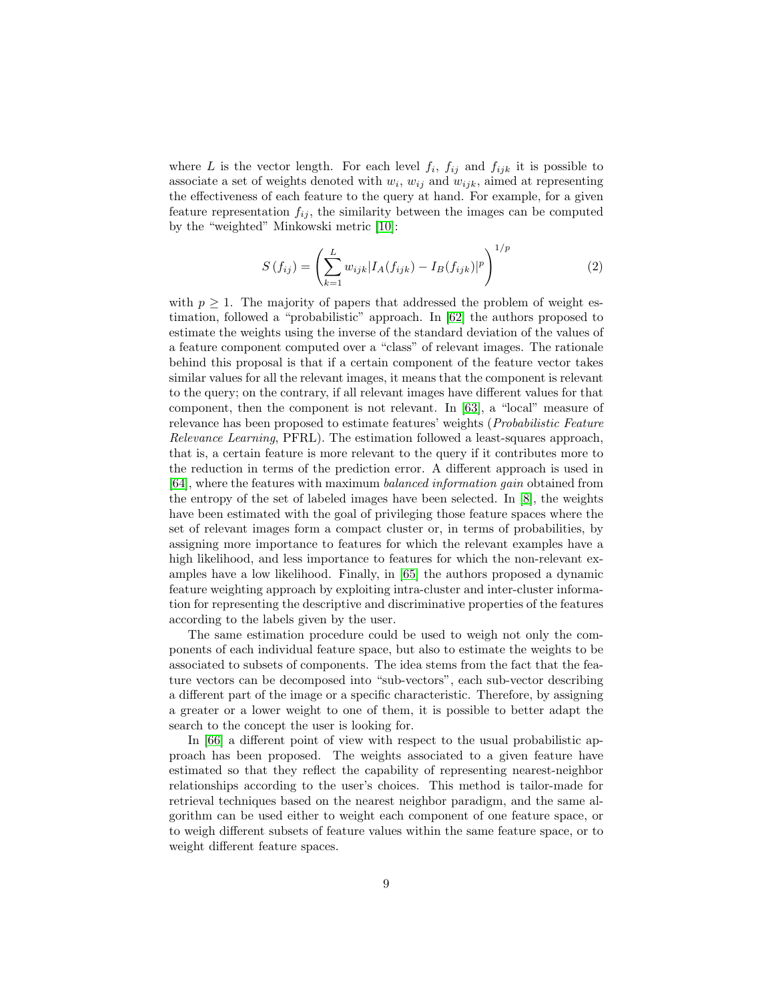where L is the vector length. For each level  $f_i$ ,  $f_{ij}$  and  $f_{ijk}$  it is possible to associate a set of weights denoted with  $w_i$ ,  $w_{ij}$  and  $w_{ijk}$ , aimed at representing the effectiveness of each feature to the query at hand. For example, for a given feature representation  $f_{ij}$ , the similarity between the images can be computed by the "weighted" Minkowski metric [\[10\]](#page-19-1):

$$
S(f_{ij}) = \left(\sum_{k=1}^{L} w_{ijk} |I_A(f_{ijk}) - I_B(f_{ijk})|^p\right)^{1/p}
$$
(2)

with  $p \geq 1$ . The majority of papers that addressed the problem of weight estimation, followed a "probabilistic" approach. In [\[62\]](#page-24-0) the authors proposed to estimate the weights using the inverse of the standard deviation of the values of a feature component computed over a "class" of relevant images. The rationale behind this proposal is that if a certain component of the feature vector takes similar values for all the relevant images, it means that the component is relevant to the query; on the contrary, if all relevant images have different values for that component, then the component is not relevant. In [\[63\]](#page-24-1), a "local" measure of relevance has been proposed to estimate features' weights (Probabilistic Feature Relevance Learning, PFRL). The estimation followed a least-squares approach, that is, a certain feature is more relevant to the query if it contributes more to the reduction in terms of the prediction error. A different approach is used in [\[64\]](#page-24-2), where the features with maximum balanced information gain obtained from the entropy of the set of labeled images have been selected. In [\[8\]](#page-18-7), the weights have been estimated with the goal of privileging those feature spaces where the set of relevant images form a compact cluster or, in terms of probabilities, by assigning more importance to features for which the relevant examples have a high likelihood, and less importance to features for which the non-relevant examples have a low likelihood. Finally, in [\[65\]](#page-24-3) the authors proposed a dynamic feature weighting approach by exploiting intra-cluster and inter-cluster information for representing the descriptive and discriminative properties of the features according to the labels given by the user.

The same estimation procedure could be used to weigh not only the components of each individual feature space, but also to estimate the weights to be associated to subsets of components. The idea stems from the fact that the feature vectors can be decomposed into "sub-vectors", each sub-vector describing a different part of the image or a specific characteristic. Therefore, by assigning a greater or a lower weight to one of them, it is possible to better adapt the search to the concept the user is looking for.

In [\[66\]](#page-24-4) a different point of view with respect to the usual probabilistic approach has been proposed. The weights associated to a given feature have estimated so that they reflect the capability of representing nearest-neighbor relationships according to the user's choices. This method is tailor-made for retrieval techniques based on the nearest neighbor paradigm, and the same algorithm can be used either to weight each component of one feature space, or to weigh different subsets of feature values within the same feature space, or to weight different feature spaces.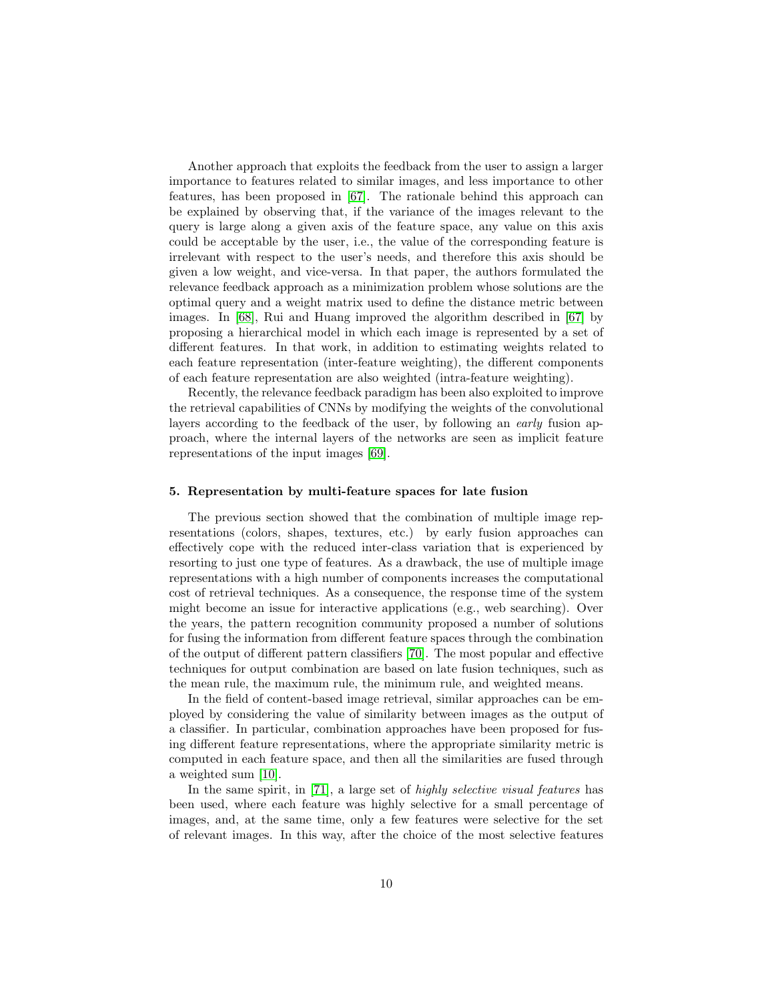Another approach that exploits the feedback from the user to assign a larger importance to features related to similar images, and less importance to other features, has been proposed in [\[67\]](#page-24-5). The rationale behind this approach can be explained by observing that, if the variance of the images relevant to the query is large along a given axis of the feature space, any value on this axis could be acceptable by the user, i.e., the value of the corresponding feature is irrelevant with respect to the user's needs, and therefore this axis should be given a low weight, and vice-versa. In that paper, the authors formulated the relevance feedback approach as a minimization problem whose solutions are the optimal query and a weight matrix used to define the distance metric between images. In [\[68\]](#page-24-6), Rui and Huang improved the algorithm described in [\[67\]](#page-24-5) by proposing a hierarchical model in which each image is represented by a set of different features. In that work, in addition to estimating weights related to each feature representation (inter-feature weighting), the different components of each feature representation are also weighted (intra-feature weighting).

Recently, the relevance feedback paradigm has been also exploited to improve the retrieval capabilities of CNNs by modifying the weights of the convolutional layers according to the feedback of the user, by following an early fusion approach, where the internal layers of the networks are seen as implicit feature representations of the input images [\[69\]](#page-24-7).

#### <span id="page-9-0"></span>5. Representation by multi-feature spaces for late fusion

The previous section showed that the combination of multiple image representations (colors, shapes, textures, etc.) by early fusion approaches can effectively cope with the reduced inter-class variation that is experienced by resorting to just one type of features. As a drawback, the use of multiple image representations with a high number of components increases the computational cost of retrieval techniques. As a consequence, the response time of the system might become an issue for interactive applications (e.g., web searching). Over the years, the pattern recognition community proposed a number of solutions for fusing the information from different feature spaces through the combination of the output of different pattern classifiers [\[70\]](#page-24-8). The most popular and effective techniques for output combination are based on late fusion techniques, such as the mean rule, the maximum rule, the minimum rule, and weighted means.

In the field of content-based image retrieval, similar approaches can be employed by considering the value of similarity between images as the output of a classifier. In particular, combination approaches have been proposed for fusing different feature representations, where the appropriate similarity metric is computed in each feature space, and then all the similarities are fused through a weighted sum [\[10\]](#page-19-1).

In the same spirit, in [\[71\]](#page-24-9), a large set of highly selective visual features has been used, where each feature was highly selective for a small percentage of images, and, at the same time, only a few features were selective for the set of relevant images. In this way, after the choice of the most selective features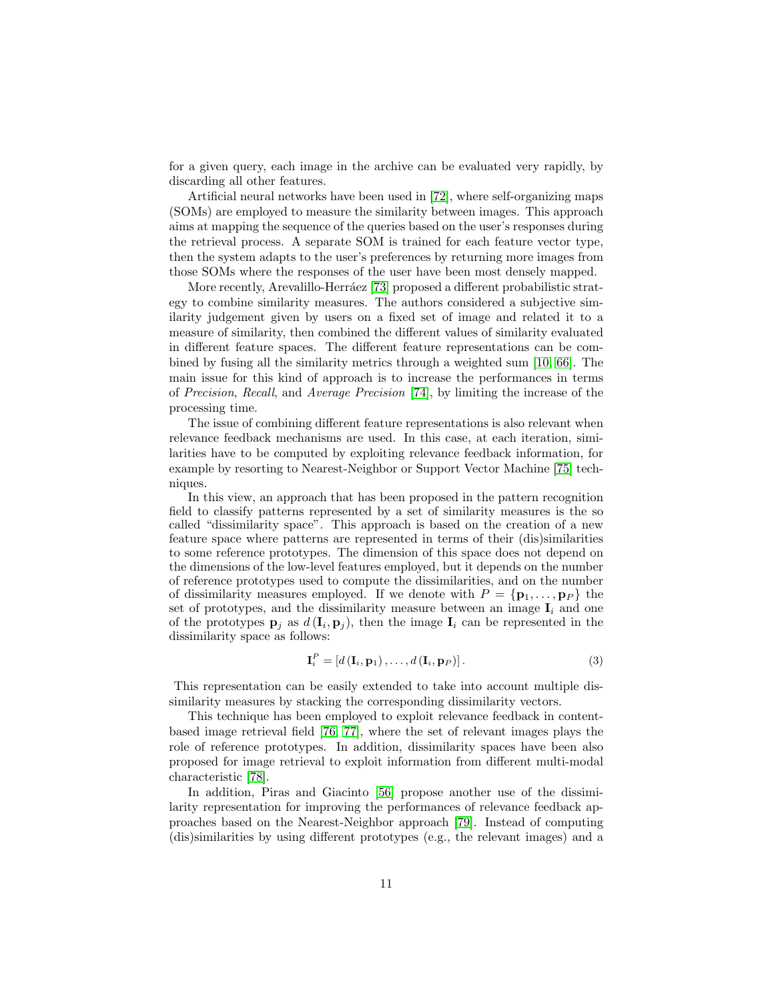for a given query, each image in the archive can be evaluated very rapidly, by discarding all other features.

Artificial neural networks have been used in [\[72\]](#page-24-10), where self-organizing maps (SOMs) are employed to measure the similarity between images. This approach aims at mapping the sequence of the queries based on the user's responses during the retrieval process. A separate SOM is trained for each feature vector type, then the system adapts to the user's preferences by returning more images from those SOMs where the responses of the user have been most densely mapped.

More recently, Arevalillo-Herráez [\[73\]](#page-24-11) proposed a different probabilistic strategy to combine similarity measures. The authors considered a subjective similarity judgement given by users on a fixed set of image and related it to a measure of similarity, then combined the different values of similarity evaluated in different feature spaces. The different feature representations can be combined by fusing all the similarity metrics through a weighted sum [\[10,](#page-19-1) [66\]](#page-24-4). The main issue for this kind of approach is to increase the performances in terms of Precision, Recall, and Average Precision [\[74\]](#page-25-0), by limiting the increase of the processing time.

The issue of combining different feature representations is also relevant when relevance feedback mechanisms are used. In this case, at each iteration, similarities have to be computed by exploiting relevance feedback information, for example by resorting to Nearest-Neighbor or Support Vector Machine [\[75\]](#page-25-1) techniques.

In this view, an approach that has been proposed in the pattern recognition field to classify patterns represented by a set of similarity measures is the so called "dissimilarity space". This approach is based on the creation of a new feature space where patterns are represented in terms of their (dis)similarities to some reference prototypes. The dimension of this space does not depend on the dimensions of the low-level features employed, but it depends on the number of reference prototypes used to compute the dissimilarities, and on the number of dissimilarity measures employed. If we denote with  $P = {\bf p}_1, \ldots, {\bf p}_P$  the set of prototypes, and the dissimilarity measure between an image  $I_i$  and one of the prototypes  $\mathbf{p}_j$  as  $d(\mathbf{I}_i, \mathbf{p}_j)$ , then the image  $\mathbf{I}_i$  can be represented in the dissimilarity space as follows:

$$
\mathbf{I}_{i}^{P} = [d(\mathbf{I}_{i}, \mathbf{p}_{1}), \dots, d(\mathbf{I}_{i}, \mathbf{p}_{P})]. \tag{3}
$$

This representation can be easily extended to take into account multiple dissimilarity measures by stacking the corresponding dissimilarity vectors.

This technique has been employed to exploit relevance feedback in contentbased image retrieval field [\[76,](#page-25-2) [77\]](#page-25-3), where the set of relevant images plays the role of reference prototypes. In addition, dissimilarity spaces have been also proposed for image retrieval to exploit information from different multi-modal characteristic [\[78\]](#page-25-4).

In addition, Piras and Giacinto [\[56\]](#page-23-4) propose another use of the dissimilarity representation for improving the performances of relevance feedback approaches based on the Nearest-Neighbor approach [\[79\]](#page-25-5). Instead of computing (dis)similarities by using different prototypes (e.g., the relevant images) and a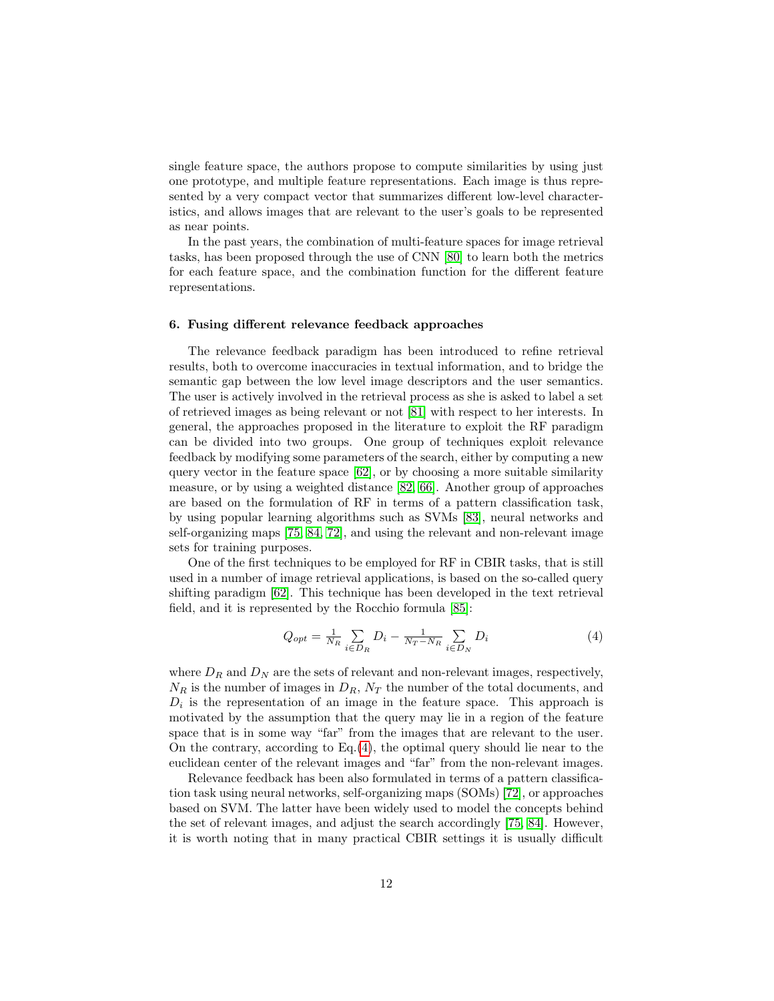single feature space, the authors propose to compute similarities by using just one prototype, and multiple feature representations. Each image is thus represented by a very compact vector that summarizes different low-level characteristics, and allows images that are relevant to the user's goals to be represented as near points.

In the past years, the combination of multi-feature spaces for image retrieval tasks, has been proposed through the use of CNN [\[80\]](#page-25-6) to learn both the metrics for each feature space, and the combination function for the different feature representations.

### 6. Fusing different relevance feedback approaches

The relevance feedback paradigm has been introduced to refine retrieval results, both to overcome inaccuracies in textual information, and to bridge the semantic gap between the low level image descriptors and the user semantics. The user is actively involved in the retrieval process as she is asked to label a set of retrieved images as being relevant or not [\[81\]](#page-25-7) with respect to her interests. In general, the approaches proposed in the literature to exploit the RF paradigm can be divided into two groups. One group of techniques exploit relevance feedback by modifying some parameters of the search, either by computing a new query vector in the feature space [\[62\]](#page-24-0), or by choosing a more suitable similarity measure, or by using a weighted distance [\[82,](#page-25-8) [66\]](#page-24-4). Another group of approaches are based on the formulation of RF in terms of a pattern classification task, by using popular learning algorithms such as SVMs [\[83\]](#page-25-9), neural networks and self-organizing maps [\[75,](#page-25-1) [84,](#page-25-10) [72\]](#page-24-10), and using the relevant and non-relevant image sets for training purposes.

One of the first techniques to be employed for RF in CBIR tasks, that is still used in a number of image retrieval applications, is based on the so-called query shifting paradigm [\[62\]](#page-24-0). This technique has been developed in the text retrieval field, and it is represented by the Rocchio formula [\[85\]](#page-25-11):

<span id="page-11-0"></span>
$$
Q_{opt} = \frac{1}{N_R} \sum_{i \in D_R} D_i - \frac{1}{N_T - N_R} \sum_{i \in D_N} D_i \tag{4}
$$

where  $D_R$  and  $D_N$  are the sets of relevant and non-relevant images, respectively,  $N_R$  is the number of images in  $D_R$ ,  $N_T$  the number of the total documents, and  $D_i$  is the representation of an image in the feature space. This approach is motivated by the assumption that the query may lie in a region of the feature space that is in some way "far" from the images that are relevant to the user. On the contrary, according to  $Eq.(4)$  $Eq.(4)$ , the optimal query should lie near to the euclidean center of the relevant images and "far" from the non-relevant images.

Relevance feedback has been also formulated in terms of a pattern classification task using neural networks, self-organizing maps (SOMs) [\[72\]](#page-24-10), or approaches based on SVM. The latter have been widely used to model the concepts behind the set of relevant images, and adjust the search accordingly [\[75,](#page-25-1) [84\]](#page-25-10). However, it is worth noting that in many practical CBIR settings it is usually difficult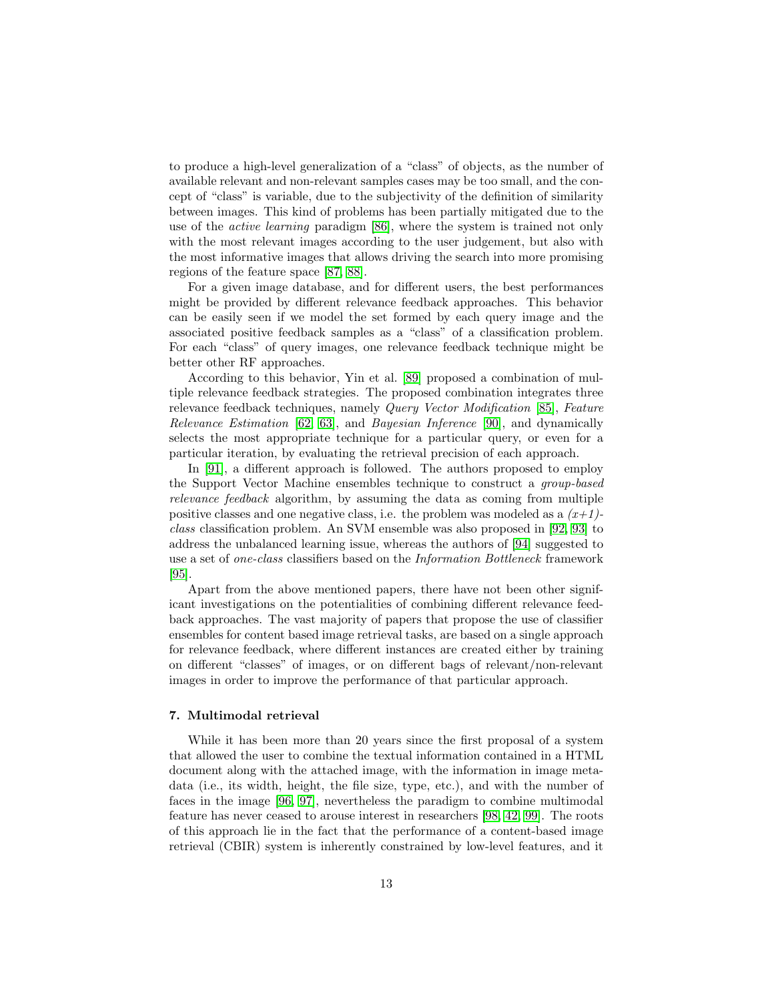to produce a high-level generalization of a "class" of objects, as the number of available relevant and non-relevant samples cases may be too small, and the concept of "class" is variable, due to the subjectivity of the definition of similarity between images. This kind of problems has been partially mitigated due to the use of the active learning paradigm [\[86\]](#page-26-0), where the system is trained not only with the most relevant images according to the user judgement, but also with the most informative images that allows driving the search into more promising regions of the feature space [\[87,](#page-26-1) [88\]](#page-26-2).

For a given image database, and for different users, the best performances might be provided by different relevance feedback approaches. This behavior can be easily seen if we model the set formed by each query image and the associated positive feedback samples as a "class" of a classification problem. For each "class" of query images, one relevance feedback technique might be better other RF approaches.

According to this behavior, Yin et al. [\[89\]](#page-26-3) proposed a combination of multiple relevance feedback strategies. The proposed combination integrates three relevance feedback techniques, namely Query Vector Modification [\[85\]](#page-25-11), Feature Relevance Estimation [\[62,](#page-24-0) [63\]](#page-24-1), and Bayesian Inference [\[90\]](#page-26-4), and dynamically selects the most appropriate technique for a particular query, or even for a particular iteration, by evaluating the retrieval precision of each approach.

In [\[91\]](#page-26-5), a different approach is followed. The authors proposed to employ the Support Vector Machine ensembles technique to construct a group-based relevance feedback algorithm, by assuming the data as coming from multiple positive classes and one negative class, i.e. the problem was modeled as a  $(x+1)$ class classification problem. An SVM ensemble was also proposed in [\[92,](#page-26-6) [93\]](#page-26-7) to address the unbalanced learning issue, whereas the authors of [\[94\]](#page-26-8) suggested to use a set of one-class classifiers based on the Information Bottleneck framework [\[95\]](#page-26-9).

Apart from the above mentioned papers, there have not been other significant investigations on the potentialities of combining different relevance feedback approaches. The vast majority of papers that propose the use of classifier ensembles for content based image retrieval tasks, are based on a single approach for relevance feedback, where different instances are created either by training on different "classes" of images, or on different bags of relevant/non-relevant images in order to improve the performance of that particular approach.

#### <span id="page-12-0"></span>7. Multimodal retrieval

While it has been more than 20 years since the first proposal of a system that allowed the user to combine the textual information contained in a HTML document along with the attached image, with the information in image metadata (i.e., its width, height, the file size, type, etc.), and with the number of faces in the image [\[96,](#page-26-10) [97\]](#page-26-11), nevertheless the paradigm to combine multimodal feature has never ceased to arouse interest in researchers [\[98,](#page-26-12) [42,](#page-22-0) [99\]](#page-27-0). The roots of this approach lie in the fact that the performance of a content-based image retrieval (CBIR) system is inherently constrained by low-level features, and it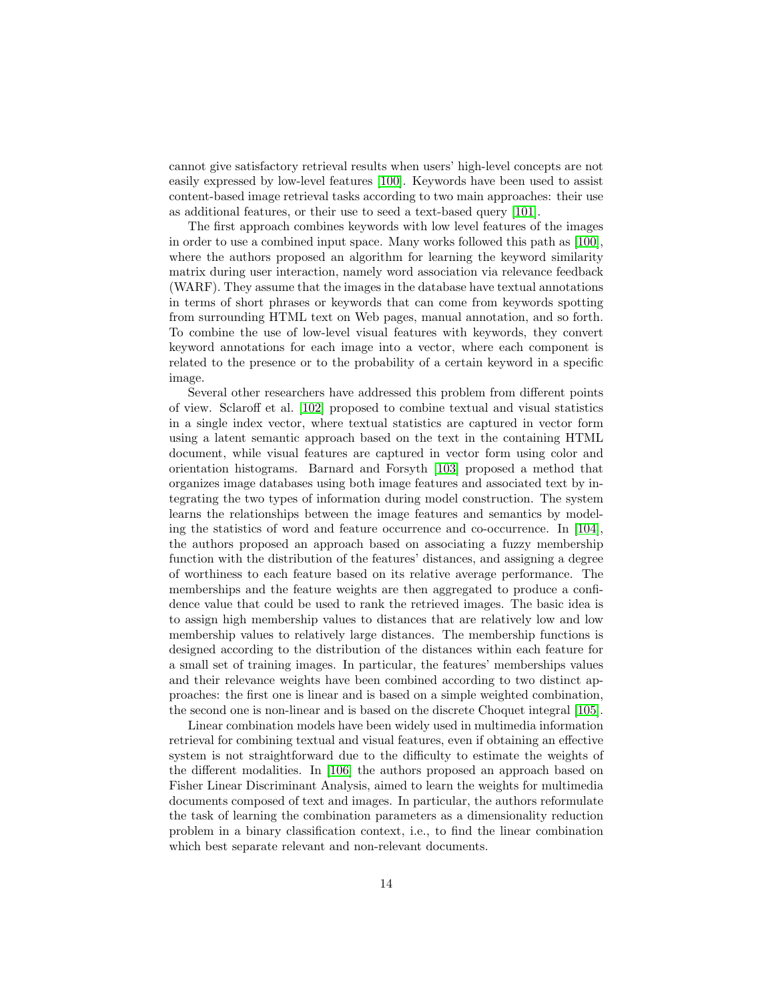cannot give satisfactory retrieval results when users' high-level concepts are not easily expressed by low-level features [\[100\]](#page-27-1). Keywords have been used to assist content-based image retrieval tasks according to two main approaches: their use as additional features, or their use to seed a text-based query [\[101\]](#page-27-2).

The first approach combines keywords with low level features of the images in order to use a combined input space. Many works followed this path as [\[100\]](#page-27-1), where the authors proposed an algorithm for learning the keyword similarity matrix during user interaction, namely word association via relevance feedback (WARF). They assume that the images in the database have textual annotations in terms of short phrases or keywords that can come from keywords spotting from surrounding HTML text on Web pages, manual annotation, and so forth. To combine the use of low-level visual features with keywords, they convert keyword annotations for each image into a vector, where each component is related to the presence or to the probability of a certain keyword in a specific image.

Several other researchers have addressed this problem from different points of view. Sclaroff et al. [\[102\]](#page-27-3) proposed to combine textual and visual statistics in a single index vector, where textual statistics are captured in vector form using a latent semantic approach based on the text in the containing HTML document, while visual features are captured in vector form using color and orientation histograms. Barnard and Forsyth [\[103\]](#page-27-4) proposed a method that organizes image databases using both image features and associated text by integrating the two types of information during model construction. The system learns the relationships between the image features and semantics by modeling the statistics of word and feature occurrence and co-occurrence. In [\[104\]](#page-27-5), the authors proposed an approach based on associating a fuzzy membership function with the distribution of the features' distances, and assigning a degree of worthiness to each feature based on its relative average performance. The memberships and the feature weights are then aggregated to produce a confidence value that could be used to rank the retrieved images. The basic idea is to assign high membership values to distances that are relatively low and low membership values to relatively large distances. The membership functions is designed according to the distribution of the distances within each feature for a small set of training images. In particular, the features' memberships values and their relevance weights have been combined according to two distinct approaches: the first one is linear and is based on a simple weighted combination, the second one is non-linear and is based on the discrete Choquet integral [\[105\]](#page-27-6).

Linear combination models have been widely used in multimedia information retrieval for combining textual and visual features, even if obtaining an effective system is not straightforward due to the difficulty to estimate the weights of the different modalities. In [\[106\]](#page-27-7) the authors proposed an approach based on Fisher Linear Discriminant Analysis, aimed to learn the weights for multimedia documents composed of text and images. In particular, the authors reformulate the task of learning the combination parameters as a dimensionality reduction problem in a binary classification context, i.e., to find the linear combination which best separate relevant and non-relevant documents.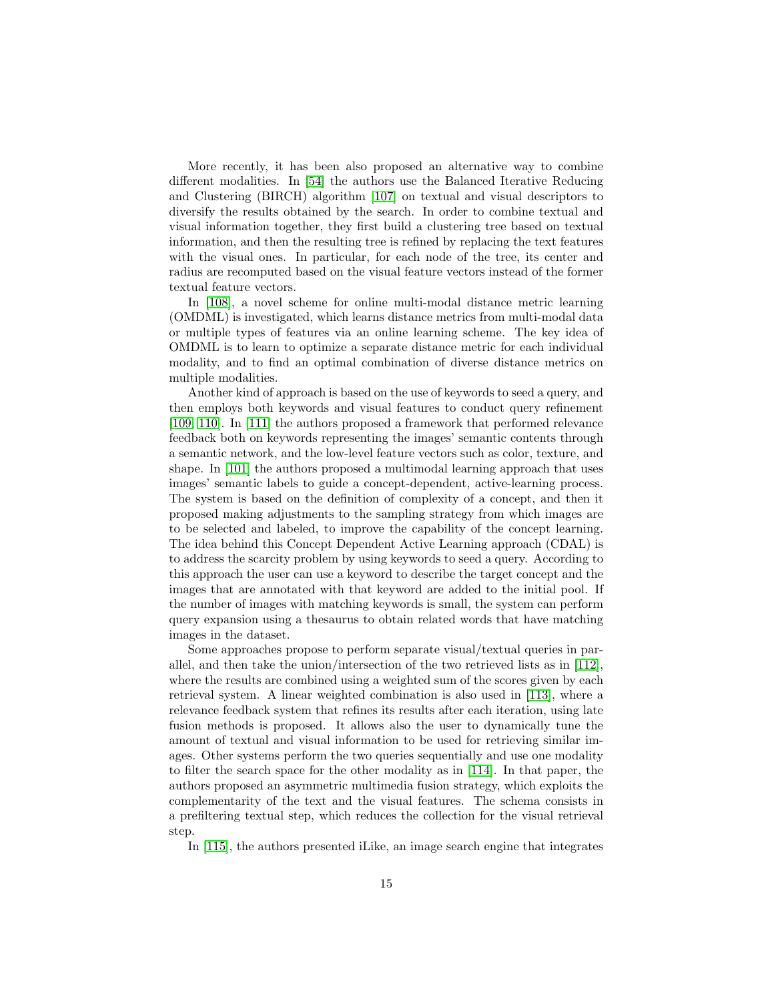More recently, it has been also proposed an alternative way to combine different modalities. In [\[54\]](#page-23-2) the authors use the Balanced Iterative Reducing and Clustering (BIRCH) algorithm [\[107\]](#page-27-8) on textual and visual descriptors to diversify the results obtained by the search. In order to combine textual and visual information together, they first build a clustering tree based on textual information, and then the resulting tree is refined by replacing the text features with the visual ones. In particular, for each node of the tree, its center and radius are recomputed based on the visual feature vectors instead of the former textual feature vectors.

In [\[108\]](#page-27-9), a novel scheme for online multi-modal distance metric learning (OMDML) is investigated, which learns distance metrics from multi-modal data or multiple types of features via an online learning scheme. The key idea of OMDML is to learn to optimize a separate distance metric for each individual modality, and to find an optimal combination of diverse distance metrics on multiple modalities.

Another kind of approach is based on the use of keywords to seed a query, and then employs both keywords and visual features to conduct query refinement [\[109,](#page-27-10) [110\]](#page-27-11). In [\[111\]](#page-28-0) the authors proposed a framework that performed relevance feedback both on keywords representing the images' semantic contents through a semantic network, and the low-level feature vectors such as color, texture, and shape. In [\[101\]](#page-27-2) the authors proposed a multimodal learning approach that uses images' semantic labels to guide a concept-dependent, active-learning process. The system is based on the definition of complexity of a concept, and then it proposed making adjustments to the sampling strategy from which images are to be selected and labeled, to improve the capability of the concept learning. The idea behind this Concept Dependent Active Learning approach (CDAL) is to address the scarcity problem by using keywords to seed a query. According to this approach the user can use a keyword to describe the target concept and the images that are annotated with that keyword are added to the initial pool. If the number of images with matching keywords is small, the system can perform query expansion using a thesaurus to obtain related words that have matching images in the dataset.

Some approaches propose to perform separate visual/textual queries in parallel, and then take the union/intersection of the two retrieved lists as in [\[112\]](#page-28-1), where the results are combined using a weighted sum of the scores given by each retrieval system. A linear weighted combination is also used in [\[113\]](#page-28-2), where a relevance feedback system that refines its results after each iteration, using late fusion methods is proposed. It allows also the user to dynamically tune the amount of textual and visual information to be used for retrieving similar images. Other systems perform the two queries sequentially and use one modality to filter the search space for the other modality as in [\[114\]](#page-28-3). In that paper, the authors proposed an asymmetric multimedia fusion strategy, which exploits the complementarity of the text and the visual features. The schema consists in a prefiltering textual step, which reduces the collection for the visual retrieval step.

In [\[115\]](#page-28-4), the authors presented iLike, an image search engine that integrates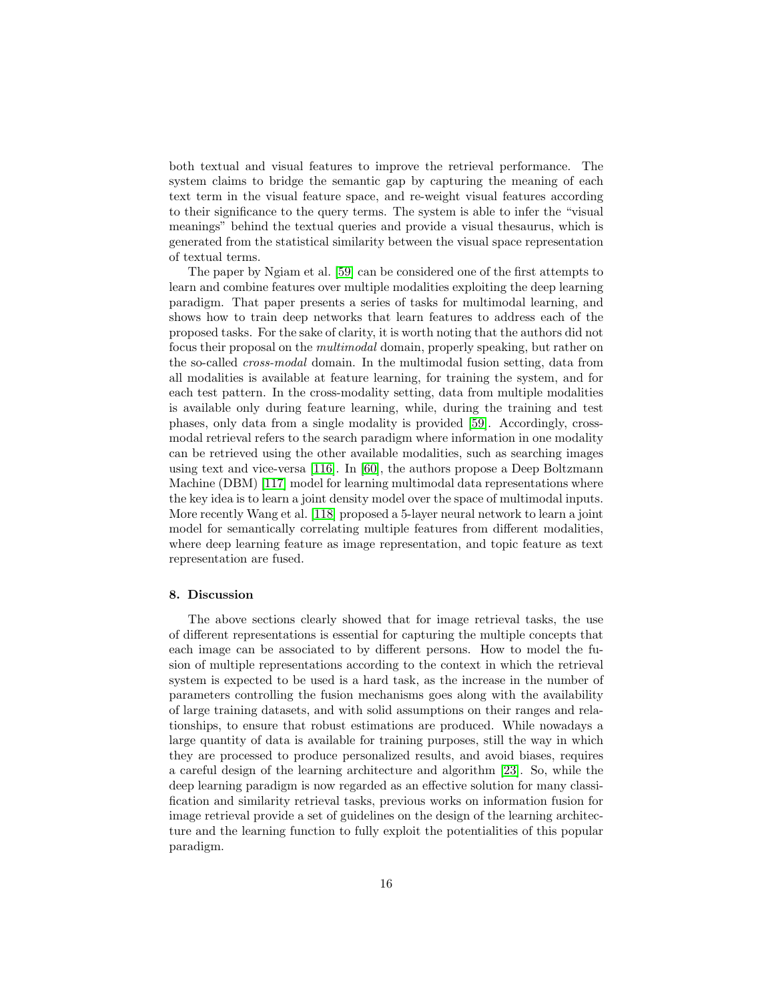both textual and visual features to improve the retrieval performance. The system claims to bridge the semantic gap by capturing the meaning of each text term in the visual feature space, and re-weight visual features according to their significance to the query terms. The system is able to infer the "visual meanings" behind the textual queries and provide a visual thesaurus, which is generated from the statistical similarity between the visual space representation of textual terms.

The paper by Ngiam et al. [\[59\]](#page-23-7) can be considered one of the first attempts to learn and combine features over multiple modalities exploiting the deep learning paradigm. That paper presents a series of tasks for multimodal learning, and shows how to train deep networks that learn features to address each of the proposed tasks. For the sake of clarity, it is worth noting that the authors did not focus their proposal on the multimodal domain, properly speaking, but rather on the so-called cross-modal domain. In the multimodal fusion setting, data from all modalities is available at feature learning, for training the system, and for each test pattern. In the cross-modality setting, data from multiple modalities is available only during feature learning, while, during the training and test phases, only data from a single modality is provided [\[59\]](#page-23-7). Accordingly, crossmodal retrieval refers to the search paradigm where information in one modality can be retrieved using the other available modalities, such as searching images using text and vice-versa [\[116\]](#page-28-5). In [\[60\]](#page-23-8), the authors propose a Deep Boltzmann Machine (DBM) [\[117\]](#page-28-6) model for learning multimodal data representations where the key idea is to learn a joint density model over the space of multimodal inputs. More recently Wang et al. [\[118\]](#page-28-7) proposed a 5-layer neural network to learn a joint model for semantically correlating multiple features from different modalities, where deep learning feature as image representation, and topic feature as text representation are fused.

### <span id="page-15-0"></span>8. Discussion

The above sections clearly showed that for image retrieval tasks, the use of different representations is essential for capturing the multiple concepts that each image can be associated to by different persons. How to model the fusion of multiple representations according to the context in which the retrieval system is expected to be used is a hard task, as the increase in the number of parameters controlling the fusion mechanisms goes along with the availability of large training datasets, and with solid assumptions on their ranges and relationships, to ensure that robust estimations are produced. While nowadays a large quantity of data is available for training purposes, still the way in which they are processed to produce personalized results, and avoid biases, requires a careful design of the learning architecture and algorithm [\[23\]](#page-20-2). So, while the deep learning paradigm is now regarded as an effective solution for many classification and similarity retrieval tasks, previous works on information fusion for image retrieval provide a set of guidelines on the design of the learning architecture and the learning function to fully exploit the potentialities of this popular paradigm.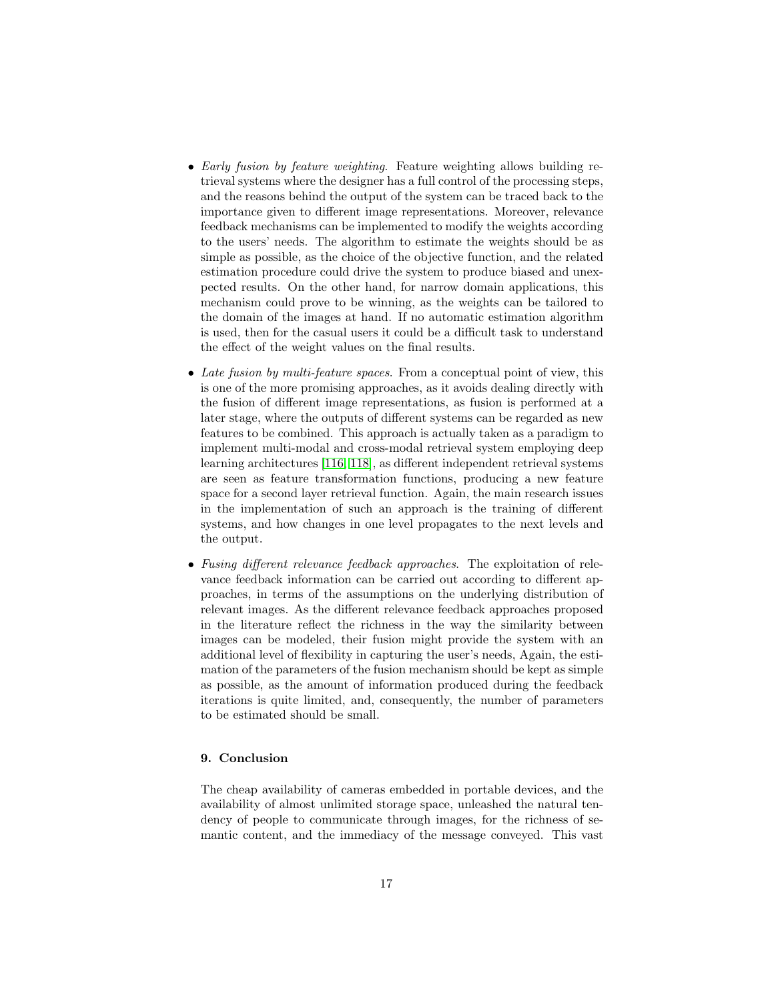- Early fusion by feature weighting. Feature weighting allows building retrieval systems where the designer has a full control of the processing steps, and the reasons behind the output of the system can be traced back to the importance given to different image representations. Moreover, relevance feedback mechanisms can be implemented to modify the weights according to the users' needs. The algorithm to estimate the weights should be as simple as possible, as the choice of the objective function, and the related estimation procedure could drive the system to produce biased and unexpected results. On the other hand, for narrow domain applications, this mechanism could prove to be winning, as the weights can be tailored to the domain of the images at hand. If no automatic estimation algorithm is used, then for the casual users it could be a difficult task to understand the effect of the weight values on the final results.
- Late fusion by multi-feature spaces. From a conceptual point of view, this is one of the more promising approaches, as it avoids dealing directly with the fusion of different image representations, as fusion is performed at a later stage, where the outputs of different systems can be regarded as new features to be combined. This approach is actually taken as a paradigm to implement multi-modal and cross-modal retrieval system employing deep learning architectures [\[116,](#page-28-5) [118\]](#page-28-7), as different independent retrieval systems are seen as feature transformation functions, producing a new feature space for a second layer retrieval function. Again, the main research issues in the implementation of such an approach is the training of different systems, and how changes in one level propagates to the next levels and the output.
- Fusing different relevance feedback approaches. The exploitation of relevance feedback information can be carried out according to different approaches, in terms of the assumptions on the underlying distribution of relevant images. As the different relevance feedback approaches proposed in the literature reflect the richness in the way the similarity between images can be modeled, their fusion might provide the system with an additional level of flexibility in capturing the user's needs, Again, the estimation of the parameters of the fusion mechanism should be kept as simple as possible, as the amount of information produced during the feedback iterations is quite limited, and, consequently, the number of parameters to be estimated should be small.

## <span id="page-16-0"></span>9. Conclusion

The cheap availability of cameras embedded in portable devices, and the availability of almost unlimited storage space, unleashed the natural tendency of people to communicate through images, for the richness of semantic content, and the immediacy of the message conveyed. This vast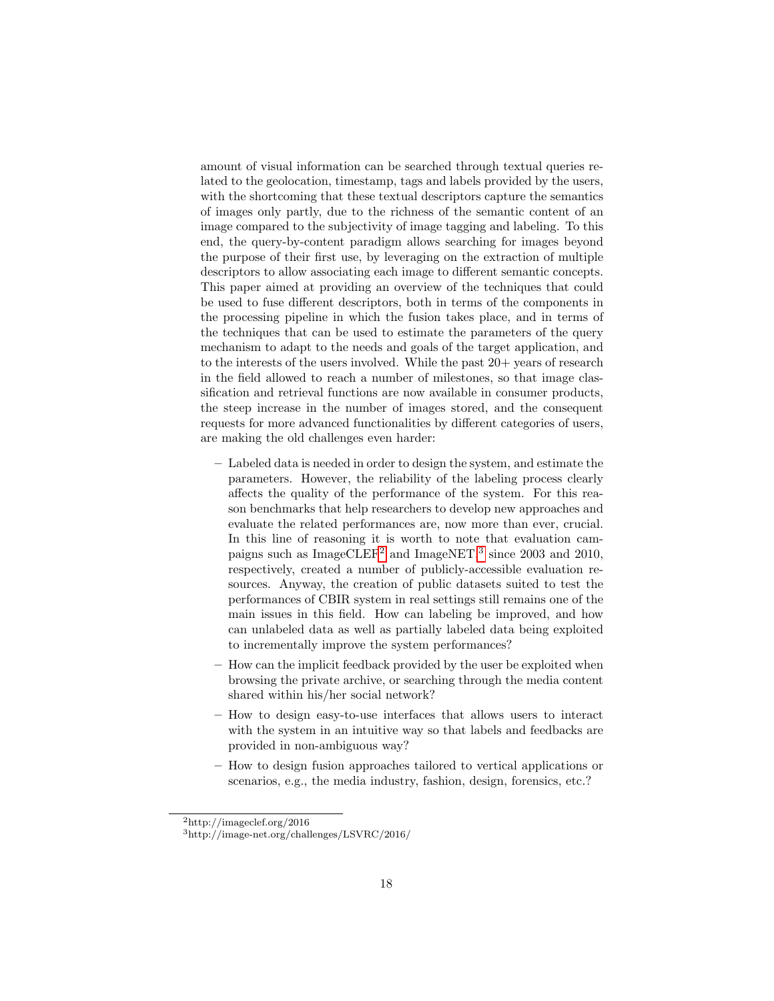amount of visual information can be searched through textual queries related to the geolocation, timestamp, tags and labels provided by the users, with the shortcoming that these textual descriptors capture the semantics of images only partly, due to the richness of the semantic content of an image compared to the subjectivity of image tagging and labeling. To this end, the query-by-content paradigm allows searching for images beyond the purpose of their first use, by leveraging on the extraction of multiple descriptors to allow associating each image to different semantic concepts. This paper aimed at providing an overview of the techniques that could be used to fuse different descriptors, both in terms of the components in the processing pipeline in which the fusion takes place, and in terms of the techniques that can be used to estimate the parameters of the query mechanism to adapt to the needs and goals of the target application, and to the interests of the users involved. While the past  $20+$  years of research in the field allowed to reach a number of milestones, so that image classification and retrieval functions are now available in consumer products, the steep increase in the number of images stored, and the consequent requests for more advanced functionalities by different categories of users, are making the old challenges even harder:

- Labeled data is needed in order to design the system, and estimate the parameters. However, the reliability of the labeling process clearly affects the quality of the performance of the system. For this reason benchmarks that help researchers to develop new approaches and evaluate the related performances are, now more than ever, crucial. In this line of reasoning it is worth to note that evaluation campaigns such as  $\text{ImageCLEF}^2$  $\text{ImageCLEF}^2$  and  $\text{ImageNET}^3$  $\text{ImageNET}^3$  since 2003 and 2010, respectively, created a number of publicly-accessible evaluation resources. Anyway, the creation of public datasets suited to test the performances of CBIR system in real settings still remains one of the main issues in this field. How can labeling be improved, and how can unlabeled data as well as partially labeled data being exploited to incrementally improve the system performances?
- How can the implicit feedback provided by the user be exploited when browsing the private archive, or searching through the media content shared within his/her social network?
- How to design easy-to-use interfaces that allows users to interact with the system in an intuitive way so that labels and feedbacks are provided in non-ambiguous way?
- How to design fusion approaches tailored to vertical applications or scenarios, e.g., the media industry, fashion, design, forensics, etc.?

<span id="page-17-0"></span><sup>2</sup>http://imageclef.org/2016

<span id="page-17-1"></span><sup>3</sup>http://image-net.org/challenges/LSVRC/2016/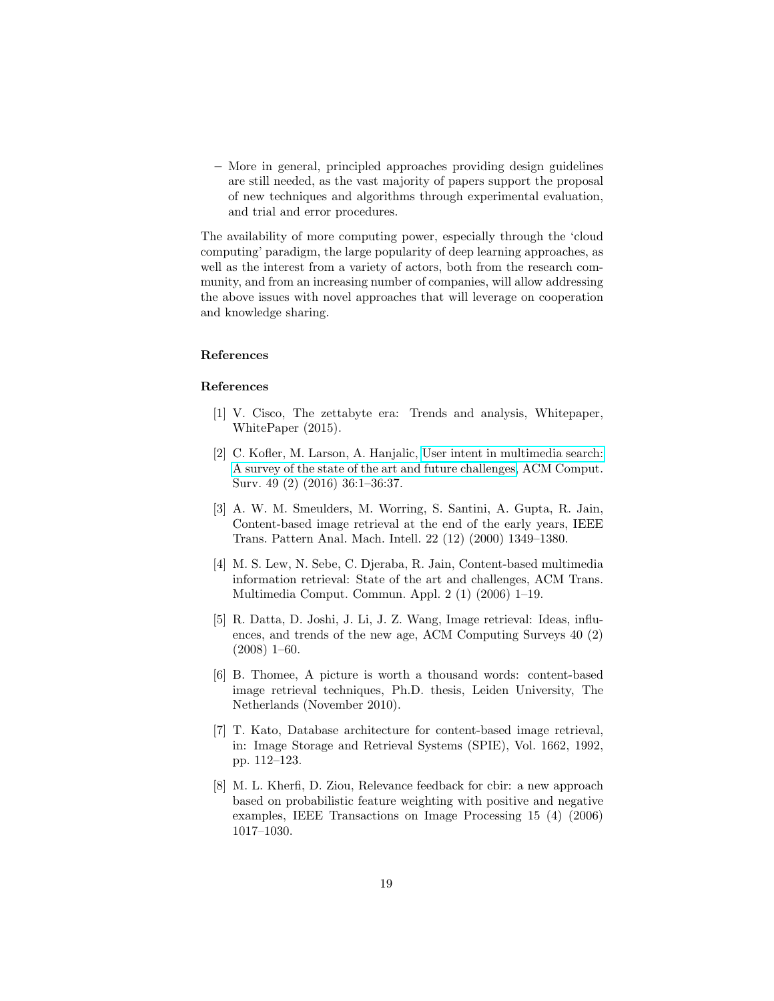– More in general, principled approaches providing design guidelines are still needed, as the vast majority of papers support the proposal of new techniques and algorithms through experimental evaluation, and trial and error procedures.

The availability of more computing power, especially through the 'cloud computing' paradigm, the large popularity of deep learning approaches, as well as the interest from a variety of actors, both from the research community, and from an increasing number of companies, will allow addressing the above issues with novel approaches that will leverage on cooperation and knowledge sharing.

## References

#### References

- <span id="page-18-0"></span>[1] V. Cisco, The zettabyte era: Trends and analysis, Whitepaper, WhitePaper (2015).
- <span id="page-18-1"></span>[2] C. Kofler, M. Larson, A. Hanjalic, [User intent in multimedia search:](http://doi.acm.org/10.1145/2954930) [A survey of the state of the art and future challenges,](http://doi.acm.org/10.1145/2954930) ACM Comput. Surv. 49 (2) (2016) 36:1–36:37.
- <span id="page-18-2"></span>[3] A. W. M. Smeulders, M. Worring, S. Santini, A. Gupta, R. Jain, Content-based image retrieval at the end of the early years, IEEE Trans. Pattern Anal. Mach. Intell. 22 (12) (2000) 1349–1380.
- <span id="page-18-3"></span>[4] M. S. Lew, N. Sebe, C. Djeraba, R. Jain, Content-based multimedia information retrieval: State of the art and challenges, ACM Trans. Multimedia Comput. Commun. Appl. 2 (1) (2006) 1–19.
- <span id="page-18-4"></span>[5] R. Datta, D. Joshi, J. Li, J. Z. Wang, Image retrieval: Ideas, influences, and trends of the new age, ACM Computing Surveys 40 (2)  $(2008)$  1–60.
- <span id="page-18-5"></span>[6] B. Thomee, A picture is worth a thousand words: content-based image retrieval techniques, Ph.D. thesis, Leiden University, The Netherlands (November 2010).
- <span id="page-18-6"></span>[7] T. Kato, Database architecture for content-based image retrieval, in: Image Storage and Retrieval Systems (SPIE), Vol. 1662, 1992, pp. 112–123.
- <span id="page-18-7"></span>[8] M. L. Kherfi, D. Ziou, Relevance feedback for cbir: a new approach based on probabilistic feature weighting with positive and negative examples, IEEE Transactions on Image Processing 15 (4) (2006) 1017–1030.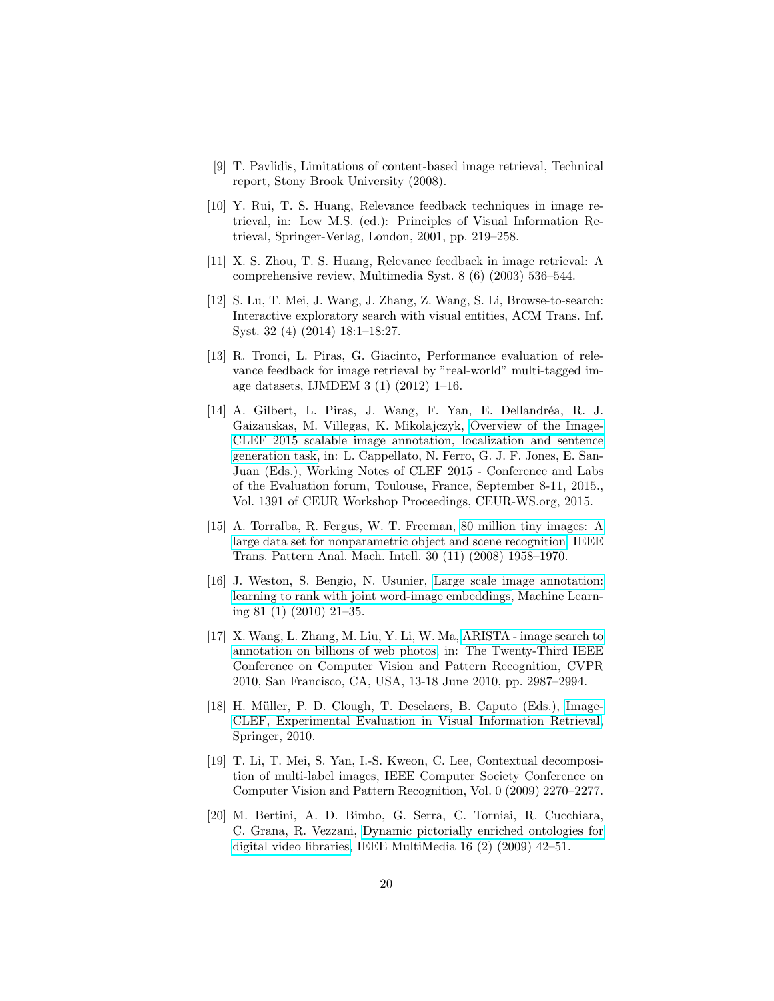- <span id="page-19-0"></span>[9] T. Pavlidis, Limitations of content-based image retrieval, Technical report, Stony Brook University (2008).
- <span id="page-19-1"></span>[10] Y. Rui, T. S. Huang, Relevance feedback techniques in image retrieval, in: Lew M.S. (ed.): Principles of Visual Information Retrieval, Springer-Verlag, London, 2001, pp. 219–258.
- <span id="page-19-2"></span>[11] X. S. Zhou, T. S. Huang, Relevance feedback in image retrieval: A comprehensive review, Multimedia Syst. 8 (6) (2003) 536–544.
- <span id="page-19-3"></span>[12] S. Lu, T. Mei, J. Wang, J. Zhang, Z. Wang, S. Li, Browse-to-search: Interactive exploratory search with visual entities, ACM Trans. Inf. Syst. 32 (4) (2014) 18:1–18:27.
- <span id="page-19-4"></span>[13] R. Tronci, L. Piras, G. Giacinto, Performance evaluation of relevance feedback for image retrieval by "real-world" multi-tagged image datasets, IJMDEM 3 (1) (2012) 1–16.
- <span id="page-19-5"></span>[14] A. Gilbert, L. Piras, J. Wang, F. Yan, E. Dellandréa, R. J. Gaizauskas, M. Villegas, K. Mikolajczyk, [Overview of the Image-](http://ceur-ws.org/Vol-1391/inv-pap6-CR.pdf)[CLEF 2015 scalable image annotation, localization and sentence](http://ceur-ws.org/Vol-1391/inv-pap6-CR.pdf) [generation task,](http://ceur-ws.org/Vol-1391/inv-pap6-CR.pdf) in: L. Cappellato, N. Ferro, G. J. F. Jones, E. San-Juan (Eds.), Working Notes of CLEF 2015 - Conference and Labs of the Evaluation forum, Toulouse, France, September 8-11, 2015., Vol. 1391 of CEUR Workshop Proceedings, CEUR-WS.org, 2015.
- <span id="page-19-6"></span>[15] A. Torralba, R. Fergus, W. T. Freeman, [80 million tiny images: A](http://dx.doi.org/10.1109/TPAMI.2008.128) [large data set for nonparametric object and scene recognition,](http://dx.doi.org/10.1109/TPAMI.2008.128) IEEE Trans. Pattern Anal. Mach. Intell. 30 (11) (2008) 1958–1970.
- <span id="page-19-7"></span>[16] J. Weston, S. Bengio, N. Usunier, [Large scale image annotation:](http://dx.doi.org/10.1007/s10994-010-5198-3) [learning to rank with joint word-image embeddings,](http://dx.doi.org/10.1007/s10994-010-5198-3) Machine Learning 81 (1) (2010) 21–35.
- <span id="page-19-8"></span>[17] X. Wang, L. Zhang, M. Liu, Y. Li, W. Ma, [ARISTA - image search to](http://dx.doi.org/10.1109/CVPR.2010.5540046) [annotation on billions of web photos,](http://dx.doi.org/10.1109/CVPR.2010.5540046) in: The Twenty-Third IEEE Conference on Computer Vision and Pattern Recognition, CVPR 2010, San Francisco, CA, USA, 13-18 June 2010, pp. 2987–2994.
- <span id="page-19-9"></span>[18] H. Müller, P. D. Clough, T. Deselaers, B. Caputo (Eds.), [Image-](http://dx.doi.org/10.1007/978-3-642-15181-1)[CLEF, Experimental Evaluation in Visual Information Retrieval,](http://dx.doi.org/10.1007/978-3-642-15181-1) Springer, 2010.
- <span id="page-19-10"></span>[19] T. Li, T. Mei, S. Yan, I.-S. Kweon, C. Lee, Contextual decomposition of multi-label images, IEEE Computer Society Conference on Computer Vision and Pattern Recognition, Vol. 0 (2009) 2270–2277.
- <span id="page-19-11"></span>[20] M. Bertini, A. D. Bimbo, G. Serra, C. Torniai, R. Cucchiara, C. Grana, R. Vezzani, [Dynamic pictorially enriched ontologies for](http://dx.doi.org/10.1109/MMUL.2009.25) [digital video libraries,](http://dx.doi.org/10.1109/MMUL.2009.25) IEEE MultiMedia 16 (2) (2009) 42–51.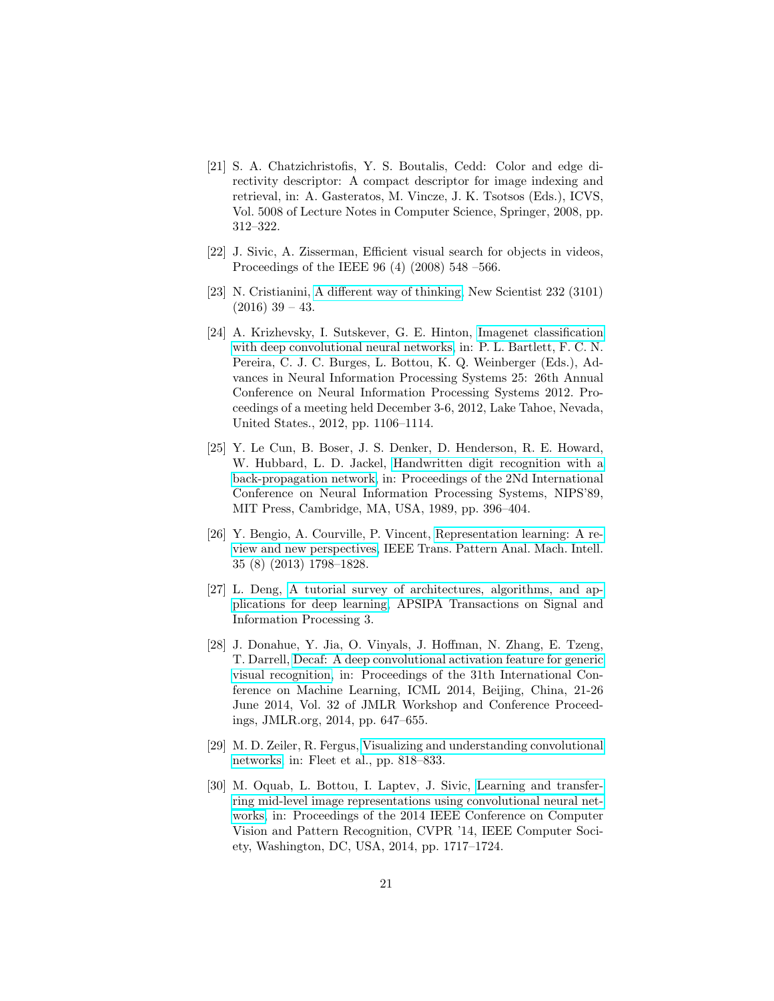- <span id="page-20-0"></span>[21] S. A. Chatzichristofis, Y. S. Boutalis, Cedd: Color and edge directivity descriptor: A compact descriptor for image indexing and retrieval, in: A. Gasteratos, M. Vincze, J. K. Tsotsos (Eds.), ICVS, Vol. 5008 of Lecture Notes in Computer Science, Springer, 2008, pp. 312–322.
- <span id="page-20-1"></span>[22] J. Sivic, A. Zisserman, Efficient visual search for objects in videos, Proceedings of the IEEE 96 (4) (2008) 548 –566.
- <span id="page-20-2"></span>[23] N. Cristianini, [A different way of thinking,](http://www.sciencedirect.com/science/article/pii/S026240791632190X) New Scientist 232 (3101)  $(2016)$  39 – 43.
- <span id="page-20-3"></span>[24] A. Krizhevsky, I. Sutskever, G. E. Hinton, [Imagenet classification](http://papers.nips.cc/paper/4824-imagenet-classification-with-deep-convolutional-neural-networks) [with deep convolutional neural networks,](http://papers.nips.cc/paper/4824-imagenet-classification-with-deep-convolutional-neural-networks) in: P. L. Bartlett, F. C. N. Pereira, C. J. C. Burges, L. Bottou, K. Q. Weinberger (Eds.), Advances in Neural Information Processing Systems 25: 26th Annual Conference on Neural Information Processing Systems 2012. Proceedings of a meeting held December 3-6, 2012, Lake Tahoe, Nevada, United States., 2012, pp. 1106–1114.
- <span id="page-20-4"></span>[25] Y. Le Cun, B. Boser, J. S. Denker, D. Henderson, R. E. Howard, W. Hubbard, L. D. Jackel, [Handwritten digit recognition with a](http://dl.acm.org/citation.cfm?id=2969830.2969879) [back-propagation network,](http://dl.acm.org/citation.cfm?id=2969830.2969879) in: Proceedings of the 2Nd International Conference on Neural Information Processing Systems, NIPS'89, MIT Press, Cambridge, MA, USA, 1989, pp. 396–404.
- <span id="page-20-5"></span>[26] Y. Bengio, A. Courville, P. Vincent, [Representation learning: A re](http://dx.doi.org/10.1109/TPAMI.2013.50)[view and new perspectives,](http://dx.doi.org/10.1109/TPAMI.2013.50) IEEE Trans. Pattern Anal. Mach. Intell. 35 (8) (2013) 1798–1828.
- <span id="page-20-6"></span>[27] L. Deng, [A tutorial survey of architectures, algorithms, and ap](https://www.cambridge.org/core/article/div-class-title-a-tutorial-survey-of-architectures-algorithms-and-applications-for-deep-learning-div/023B6ADF962FA37F8EC684B209E3DFAE)[plications for deep learning,](https://www.cambridge.org/core/article/div-class-title-a-tutorial-survey-of-architectures-algorithms-and-applications-for-deep-learning-div/023B6ADF962FA37F8EC684B209E3DFAE) APSIPA Transactions on Signal and Information Processing 3.
- <span id="page-20-7"></span>[28] J. Donahue, Y. Jia, O. Vinyals, J. Hoffman, N. Zhang, E. Tzeng, T. Darrell, [Decaf: A deep convolutional activation feature for generic](http://jmlr.org/proceedings/papers/v32/donahue14.html) [visual recognition,](http://jmlr.org/proceedings/papers/v32/donahue14.html) in: Proceedings of the 31th International Conference on Machine Learning, ICML 2014, Beijing, China, 21-26 June 2014, Vol. 32 of JMLR Workshop and Conference Proceedings, JMLR.org, 2014, pp. 647–655.
- <span id="page-20-8"></span>[29] M. D. Zeiler, R. Fergus, [Visualizing and understanding convolutional](http://dx.doi.org/10.1007/978-3-319-10590-1_53) [networks,](http://dx.doi.org/10.1007/978-3-319-10590-1_53) in: Fleet et al., pp. 818–833.
- <span id="page-20-9"></span>[30] M. Oquab, L. Bottou, I. Laptev, J. Sivic, [Learning and transfer](http://dx.doi.org/10.1109/CVPR.2014.222)[ring mid-level image representations using convolutional neural net](http://dx.doi.org/10.1109/CVPR.2014.222)[works,](http://dx.doi.org/10.1109/CVPR.2014.222) in: Proceedings of the 2014 IEEE Conference on Computer Vision and Pattern Recognition, CVPR '14, IEEE Computer Society, Washington, DC, USA, 2014, pp. 1717–1724.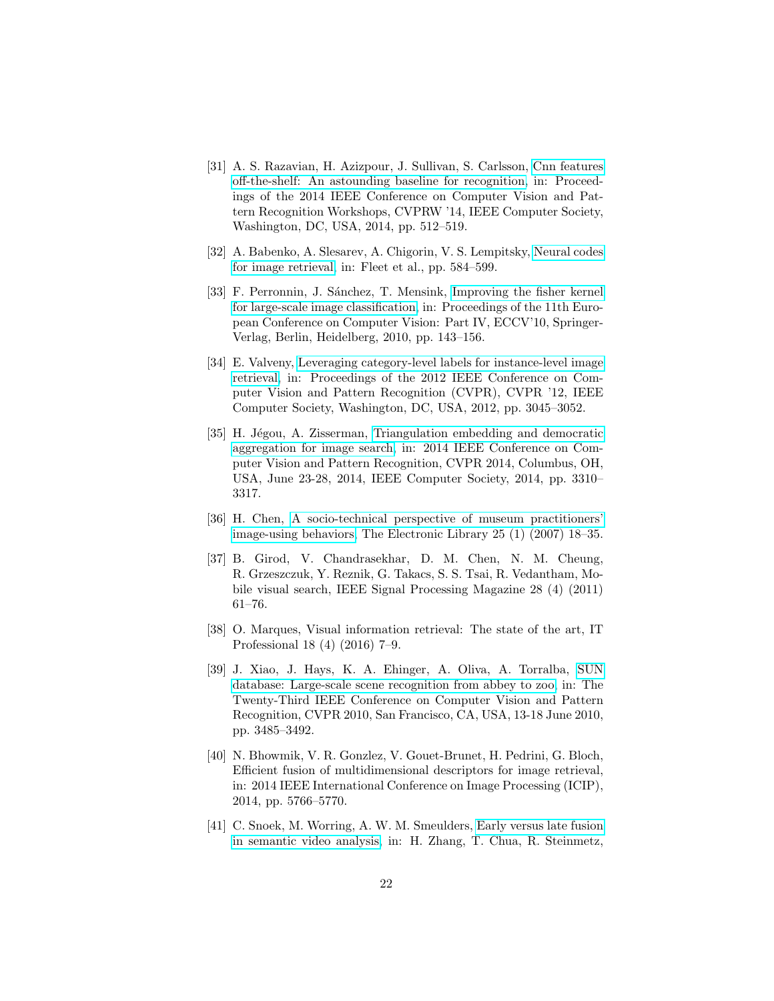- <span id="page-21-0"></span>[31] A. S. Razavian, H. Azizpour, J. Sullivan, S. Carlsson, [Cnn features](http://dx.doi.org/10.1109/CVPRW.2014.131) [off-the-shelf: An astounding baseline for recognition,](http://dx.doi.org/10.1109/CVPRW.2014.131) in: Proceedings of the 2014 IEEE Conference on Computer Vision and Pattern Recognition Workshops, CVPRW '14, IEEE Computer Society, Washington, DC, USA, 2014, pp. 512–519.
- <span id="page-21-1"></span>[32] A. Babenko, A. Slesarev, A. Chigorin, V. S. Lempitsky, [Neural codes](http://dx.doi.org/10.1007/978-3-319-10590-1_38) [for image retrieval,](http://dx.doi.org/10.1007/978-3-319-10590-1_38) in: Fleet et al., pp. 584–599.
- <span id="page-21-2"></span>[33] F. Perronnin, J. Sánchez, T. Mensink, [Improving the fisher kernel](http://dl.acm.org/citation.cfm?id=1888089.1888101) [for large-scale image classification,](http://dl.acm.org/citation.cfm?id=1888089.1888101) in: Proceedings of the 11th European Conference on Computer Vision: Part IV, ECCV'10, Springer-Verlag, Berlin, Heidelberg, 2010, pp. 143–156.
- <span id="page-21-3"></span>[34] E. Valveny, [Leveraging category-level labels for instance-level image](http://dl.acm.org/citation.cfm?id=2354409.2354782) [retrieval,](http://dl.acm.org/citation.cfm?id=2354409.2354782) in: Proceedings of the 2012 IEEE Conference on Computer Vision and Pattern Recognition (CVPR), CVPR '12, IEEE Computer Society, Washington, DC, USA, 2012, pp. 3045–3052.
- <span id="page-21-4"></span>[35] H. Jégou, A. Zisserman, [Triangulation embedding and democratic](http://dx.doi.org/10.1109/CVPR.2014.417) [aggregation for image search,](http://dx.doi.org/10.1109/CVPR.2014.417) in: 2014 IEEE Conference on Computer Vision and Pattern Recognition, CVPR 2014, Columbus, OH, USA, June 23-28, 2014, IEEE Computer Society, 2014, pp. 3310– 3317.
- <span id="page-21-5"></span>[36] H. Chen, [A socio-technical perspective of museum practitioners'](http://dx.doi.org/10.1108/02640470710729092) [image-using behaviors,](http://dx.doi.org/10.1108/02640470710729092) The Electronic Library 25 (1) (2007) 18–35.
- <span id="page-21-6"></span>[37] B. Girod, V. Chandrasekhar, D. M. Chen, N. M. Cheung, R. Grzeszczuk, Y. Reznik, G. Takacs, S. S. Tsai, R. Vedantham, Mobile visual search, IEEE Signal Processing Magazine 28 (4) (2011) 61–76.
- <span id="page-21-7"></span>[38] O. Marques, Visual information retrieval: The state of the art, IT Professional 18 (4) (2016) 7–9.
- <span id="page-21-8"></span>[39] J. Xiao, J. Hays, K. A. Ehinger, A. Oliva, A. Torralba, [SUN](http://dx.doi.org/10.1109/CVPR.2010.5539970) [database: Large-scale scene recognition from abbey to zoo,](http://dx.doi.org/10.1109/CVPR.2010.5539970) in: The Twenty-Third IEEE Conference on Computer Vision and Pattern Recognition, CVPR 2010, San Francisco, CA, USA, 13-18 June 2010, pp. 3485–3492.
- <span id="page-21-9"></span>[40] N. Bhowmik, V. R. Gonzlez, V. Gouet-Brunet, H. Pedrini, G. Bloch, Efficient fusion of multidimensional descriptors for image retrieval, in: 2014 IEEE International Conference on Image Processing (ICIP), 2014, pp. 5766–5770.
- <span id="page-21-10"></span>[41] C. Snoek, M. Worring, A. W. M. Smeulders, [Early versus late fusion](http://doi.acm.org/10.1145/1101149.1101236) [in semantic video analysis,](http://doi.acm.org/10.1145/1101149.1101236) in: H. Zhang, T. Chua, R. Steinmetz,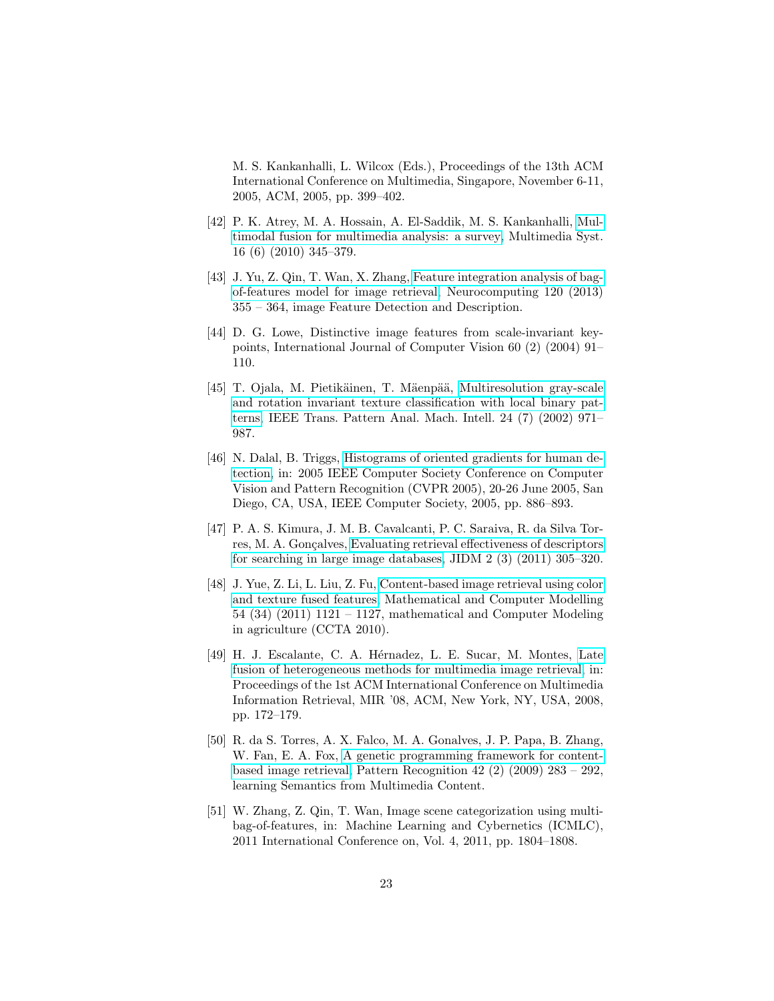M. S. Kankanhalli, L. Wilcox (Eds.), Proceedings of the 13th ACM International Conference on Multimedia, Singapore, November 6-11, 2005, ACM, 2005, pp. 399–402.

- <span id="page-22-0"></span>[42] P. K. Atrey, M. A. Hossain, A. El-Saddik, M. S. Kankanhalli, [Mul](http://dx.doi.org/10.1007/s00530-010-0182-0)[timodal fusion for multimedia analysis: a survey,](http://dx.doi.org/10.1007/s00530-010-0182-0) Multimedia Syst. 16 (6) (2010) 345–379.
- <span id="page-22-1"></span>[43] J. Yu, Z. Qin, T. Wan, X. Zhang, [Feature integration analysis of bag](http://www.sciencedirect.com/science/article/pii/S0925231213003020)[of-features model for image retrieval,](http://www.sciencedirect.com/science/article/pii/S0925231213003020) Neurocomputing 120 (2013) 355 – 364, image Feature Detection and Description.
- <span id="page-22-2"></span>[44] D. G. Lowe, Distinctive image features from scale-invariant keypoints, International Journal of Computer Vision 60 (2) (2004) 91– 110.
- <span id="page-22-3"></span>[45] T. Ojala, M. Pietikäinen, T. Mäenpää, [Multiresolution gray-scale](http://dx.doi.org/10.1109/TPAMI.2002.1017623) [and rotation invariant texture classification with local binary pat](http://dx.doi.org/10.1109/TPAMI.2002.1017623)[terns,](http://dx.doi.org/10.1109/TPAMI.2002.1017623) IEEE Trans. Pattern Anal. Mach. Intell. 24 (7) (2002) 971– 987.
- <span id="page-22-4"></span>[46] N. Dalal, B. Triggs, [Histograms of oriented gradients for human de](http://dx.doi.org/10.1109/CVPR.2005.177)[tection,](http://dx.doi.org/10.1109/CVPR.2005.177) in: 2005 IEEE Computer Society Conference on Computer Vision and Pattern Recognition (CVPR 2005), 20-26 June 2005, San Diego, CA, USA, IEEE Computer Society, 2005, pp. 886–893.
- <span id="page-22-5"></span>[47] P. A. S. Kimura, J. M. B. Cavalcanti, P. C. Saraiva, R. da Silva Tor-res, M. A. Gonçalves, [Evaluating retrieval effectiveness of descriptors](http://seer.lcc.ufmg.br/index.php/jidm/article/view/161) [for searching in large image databases,](http://seer.lcc.ufmg.br/index.php/jidm/article/view/161) JIDM 2 (3) (2011) 305–320.
- <span id="page-22-6"></span>[48] J. Yue, Z. Li, L. Liu, Z. Fu, [Content-based image retrieval using color](http://www.sciencedirect.com/science/article/pii/S0895717710005352) [and texture fused features,](http://www.sciencedirect.com/science/article/pii/S0895717710005352) Mathematical and Computer Modelling 54 (34) (2011) 1121 – 1127, mathematical and Computer Modeling in agriculture (CCTA 2010).
- <span id="page-22-7"></span>[49] H. J. Escalante, C. A. Hérnadez, L. E. Sucar, M. Montes, [Late](http://doi.acm.org/10.1145/1460096.1460125) [fusion of heterogeneous methods for multimedia image retrieval,](http://doi.acm.org/10.1145/1460096.1460125) in: Proceedings of the 1st ACM International Conference on Multimedia Information Retrieval, MIR '08, ACM, New York, NY, USA, 2008, pp. 172–179.
- <span id="page-22-8"></span>[50] R. da S. Torres, A. X. Falco, M. A. Gonalves, J. P. Papa, B. Zhang, W. Fan, E. A. Fox, [A genetic programming framework for content](http://www.sciencedirect.com/science/article/pii/S0031320308001623)[based image retrieval,](http://www.sciencedirect.com/science/article/pii/S0031320308001623) Pattern Recognition 42 (2) (2009) 283 – 292, learning Semantics from Multimedia Content.
- <span id="page-22-9"></span>[51] W. Zhang, Z. Qin, T. Wan, Image scene categorization using multibag-of-features, in: Machine Learning and Cybernetics (ICMLC), 2011 International Conference on, Vol. 4, 2011, pp. 1804–1808.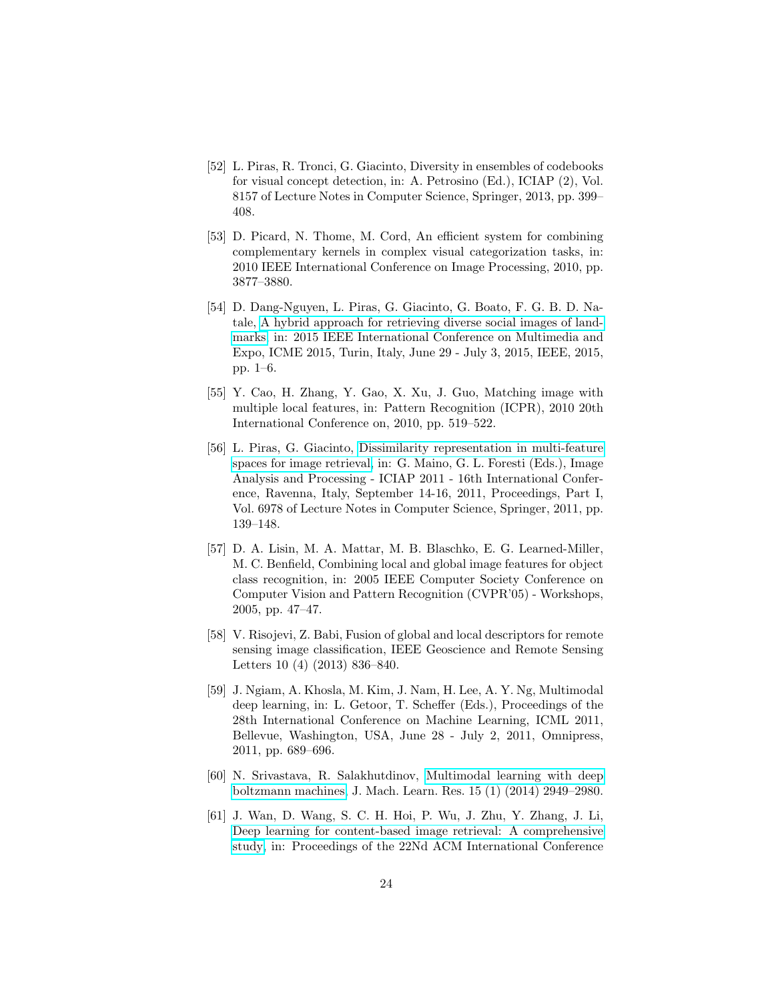- <span id="page-23-0"></span>[52] L. Piras, R. Tronci, G. Giacinto, Diversity in ensembles of codebooks for visual concept detection, in: A. Petrosino (Ed.), ICIAP (2), Vol. 8157 of Lecture Notes in Computer Science, Springer, 2013, pp. 399– 408.
- <span id="page-23-1"></span>[53] D. Picard, N. Thome, M. Cord, An efficient system for combining complementary kernels in complex visual categorization tasks, in: 2010 IEEE International Conference on Image Processing, 2010, pp. 3877–3880.
- <span id="page-23-2"></span>[54] D. Dang-Nguyen, L. Piras, G. Giacinto, G. Boato, F. G. B. D. Natale, [A hybrid approach for retrieving diverse social images of land](http://dx.doi.org/10.1109/ICME.2015.7177486)[marks,](http://dx.doi.org/10.1109/ICME.2015.7177486) in: 2015 IEEE International Conference on Multimedia and Expo, ICME 2015, Turin, Italy, June 29 - July 3, 2015, IEEE, 2015, pp. 1–6.
- <span id="page-23-3"></span>[55] Y. Cao, H. Zhang, Y. Gao, X. Xu, J. Guo, Matching image with multiple local features, in: Pattern Recognition (ICPR), 2010 20th International Conference on, 2010, pp. 519–522.
- <span id="page-23-4"></span>[56] L. Piras, G. Giacinto, [Dissimilarity representation in multi-feature](http://dx.doi.org/10.1007/978-3-642-24085-0_15) [spaces for image retrieval,](http://dx.doi.org/10.1007/978-3-642-24085-0_15) in: G. Maino, G. L. Foresti (Eds.), Image Analysis and Processing - ICIAP 2011 - 16th International Conference, Ravenna, Italy, September 14-16, 2011, Proceedings, Part I, Vol. 6978 of Lecture Notes in Computer Science, Springer, 2011, pp. 139–148.
- <span id="page-23-5"></span>[57] D. A. Lisin, M. A. Mattar, M. B. Blaschko, E. G. Learned-Miller, M. C. Benfield, Combining local and global image features for object class recognition, in: 2005 IEEE Computer Society Conference on Computer Vision and Pattern Recognition (CVPR'05) - Workshops, 2005, pp. 47–47.
- <span id="page-23-6"></span>[58] V. Risojevi, Z. Babi, Fusion of global and local descriptors for remote sensing image classification, IEEE Geoscience and Remote Sensing Letters 10 (4) (2013) 836–840.
- <span id="page-23-7"></span>[59] J. Ngiam, A. Khosla, M. Kim, J. Nam, H. Lee, A. Y. Ng, Multimodal deep learning, in: L. Getoor, T. Scheffer (Eds.), Proceedings of the 28th International Conference on Machine Learning, ICML 2011, Bellevue, Washington, USA, June 28 - July 2, 2011, Omnipress, 2011, pp. 689–696.
- <span id="page-23-8"></span>[60] N. Srivastava, R. Salakhutdinov, [Multimodal learning with deep](http://dl.acm.org/citation.cfm?id=2627435.2697059) [boltzmann machines,](http://dl.acm.org/citation.cfm?id=2627435.2697059) J. Mach. Learn. Res. 15 (1) (2014) 2949–2980.
- <span id="page-23-9"></span>[61] J. Wan, D. Wang, S. C. H. Hoi, P. Wu, J. Zhu, Y. Zhang, J. Li, [Deep learning for content-based image retrieval: A comprehensive](http://doi.acm.org/10.1145/2647868.2654948) [study,](http://doi.acm.org/10.1145/2647868.2654948) in: Proceedings of the 22Nd ACM International Conference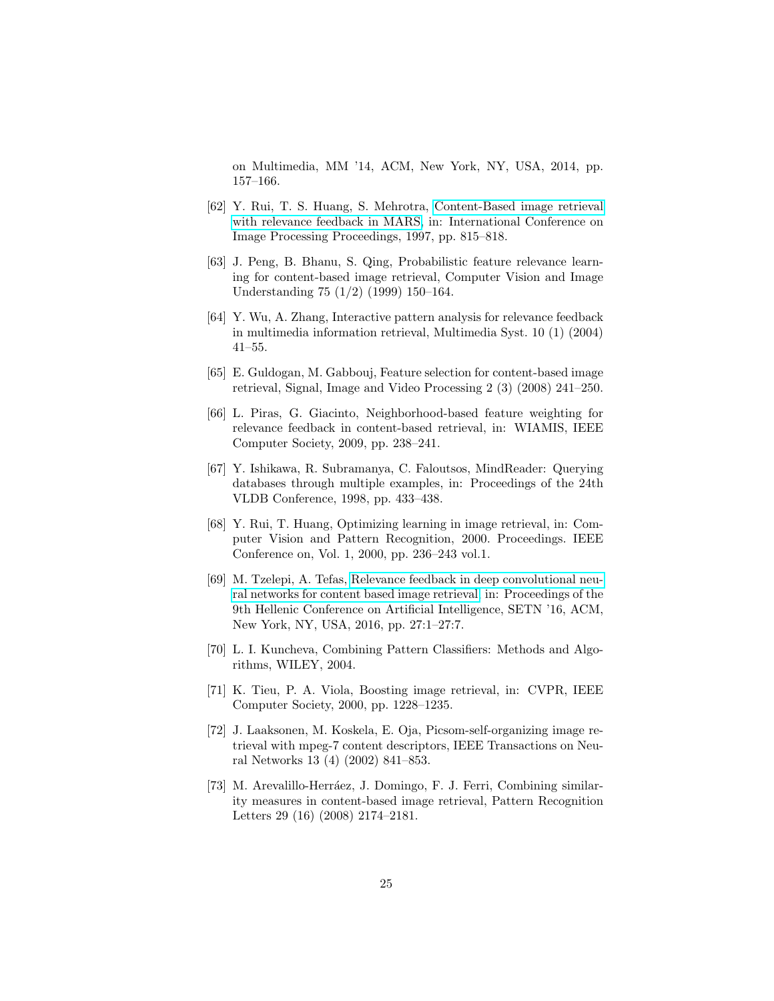on Multimedia, MM '14, ACM, New York, NY, USA, 2014, pp. 157–166.

- <span id="page-24-0"></span>[62] Y. Rui, T. S. Huang, S. Mehrotra, [Content-Based image retrieval](citeseer.ist.psu.edu/rui97contentbased.html) [with relevance feedback in MARS,](citeseer.ist.psu.edu/rui97contentbased.html) in: International Conference on Image Processing Proceedings, 1997, pp. 815–818.
- <span id="page-24-1"></span>[63] J. Peng, B. Bhanu, S. Qing, Probabilistic feature relevance learning for content-based image retrieval, Computer Vision and Image Understanding 75 (1/2) (1999) 150–164.
- <span id="page-24-2"></span>[64] Y. Wu, A. Zhang, Interactive pattern analysis for relevance feedback in multimedia information retrieval, Multimedia Syst. 10 (1) (2004) 41–55.
- <span id="page-24-3"></span>[65] E. Guldogan, M. Gabbouj, Feature selection for content-based image retrieval, Signal, Image and Video Processing 2 (3) (2008) 241–250.
- <span id="page-24-4"></span>[66] L. Piras, G. Giacinto, Neighborhood-based feature weighting for relevance feedback in content-based retrieval, in: WIAMIS, IEEE Computer Society, 2009, pp. 238–241.
- <span id="page-24-5"></span>[67] Y. Ishikawa, R. Subramanya, C. Faloutsos, MindReader: Querying databases through multiple examples, in: Proceedings of the 24th VLDB Conference, 1998, pp. 433–438.
- <span id="page-24-6"></span>[68] Y. Rui, T. Huang, Optimizing learning in image retrieval, in: Computer Vision and Pattern Recognition, 2000. Proceedings. IEEE Conference on, Vol. 1, 2000, pp. 236–243 vol.1.
- <span id="page-24-7"></span>[69] M. Tzelepi, A. Tefas, [Relevance feedback in deep convolutional neu](http://doi.acm.org/10.1145/2903220.2903240)[ral networks for content based image retrieval,](http://doi.acm.org/10.1145/2903220.2903240) in: Proceedings of the 9th Hellenic Conference on Artificial Intelligence, SETN '16, ACM, New York, NY, USA, 2016, pp. 27:1–27:7.
- <span id="page-24-8"></span>[70] L. I. Kuncheva, Combining Pattern Classifiers: Methods and Algorithms, WILEY, 2004.
- <span id="page-24-9"></span>[71] K. Tieu, P. A. Viola, Boosting image retrieval, in: CVPR, IEEE Computer Society, 2000, pp. 1228–1235.
- <span id="page-24-10"></span>[72] J. Laaksonen, M. Koskela, E. Oja, Picsom-self-organizing image retrieval with mpeg-7 content descriptors, IEEE Transactions on Neural Networks 13 (4) (2002) 841–853.
- <span id="page-24-11"></span>[73] M. Arevalillo-Herráez, J. Domingo, F. J. Ferri, Combining similarity measures in content-based image retrieval, Pattern Recognition Letters 29 (16) (2008) 2174–2181.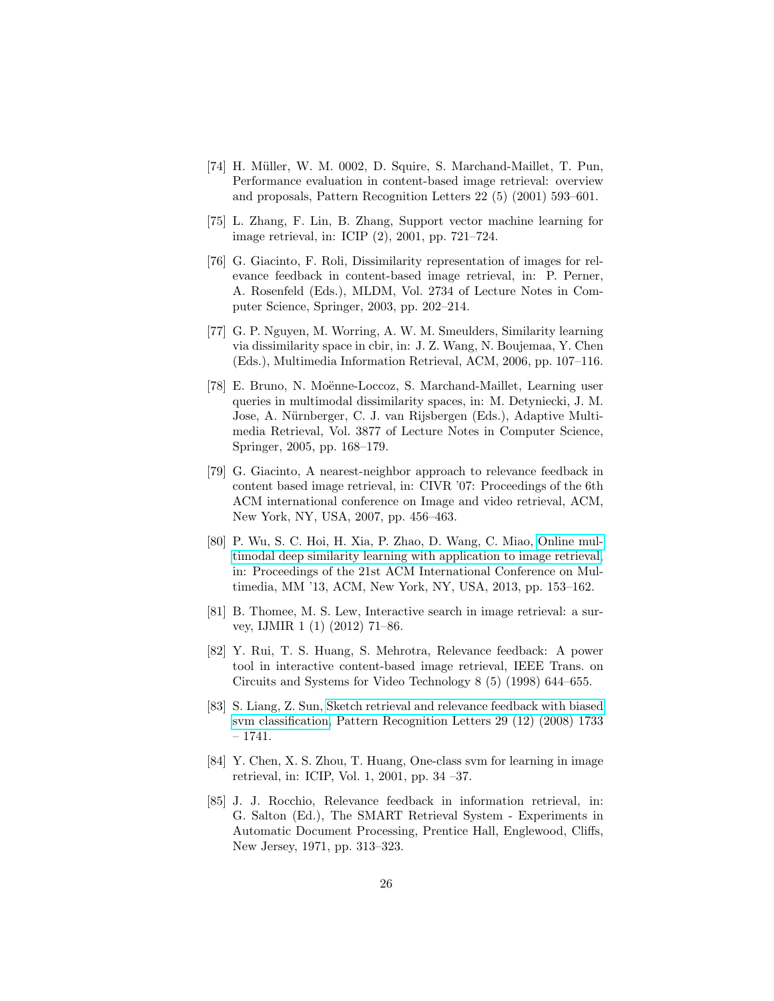- <span id="page-25-0"></span>[74] H. Müller, W. M. 0002, D. Squire, S. Marchand-Maillet, T. Pun, Performance evaluation in content-based image retrieval: overview and proposals, Pattern Recognition Letters 22 (5) (2001) 593–601.
- <span id="page-25-1"></span>[75] L. Zhang, F. Lin, B. Zhang, Support vector machine learning for image retrieval, in: ICIP (2), 2001, pp. 721–724.
- <span id="page-25-2"></span>[76] G. Giacinto, F. Roli, Dissimilarity representation of images for relevance feedback in content-based image retrieval, in: P. Perner, A. Rosenfeld (Eds.), MLDM, Vol. 2734 of Lecture Notes in Computer Science, Springer, 2003, pp. 202–214.
- <span id="page-25-3"></span>[77] G. P. Nguyen, M. Worring, A. W. M. Smeulders, Similarity learning via dissimilarity space in cbir, in: J. Z. Wang, N. Boujemaa, Y. Chen (Eds.), Multimedia Information Retrieval, ACM, 2006, pp. 107–116.
- <span id="page-25-4"></span>[78] E. Bruno, N. Moënne-Loccoz, S. Marchand-Maillet, Learning user queries in multimodal dissimilarity spaces, in: M. Detyniecki, J. M. Jose, A. Nürnberger, C. J. van Rijsbergen (Eds.), Adaptive Multimedia Retrieval, Vol. 3877 of Lecture Notes in Computer Science, Springer, 2005, pp. 168–179.
- <span id="page-25-5"></span>[79] G. Giacinto, A nearest-neighbor approach to relevance feedback in content based image retrieval, in: CIVR '07: Proceedings of the 6th ACM international conference on Image and video retrieval, ACM, New York, NY, USA, 2007, pp. 456–463.
- <span id="page-25-6"></span>[80] P. Wu, S. C. Hoi, H. Xia, P. Zhao, D. Wang, C. Miao, [Online mul](http://doi.acm.org/10.1145/2502081.2502112)[timodal deep similarity learning with application to image retrieval,](http://doi.acm.org/10.1145/2502081.2502112) in: Proceedings of the 21st ACM International Conference on Multimedia, MM '13, ACM, New York, NY, USA, 2013, pp. 153–162.
- <span id="page-25-7"></span>[81] B. Thomee, M. S. Lew, Interactive search in image retrieval: a survey, IJMIR 1 (1) (2012) 71–86.
- <span id="page-25-8"></span>[82] Y. Rui, T. S. Huang, S. Mehrotra, Relevance feedback: A power tool in interactive content-based image retrieval, IEEE Trans. on Circuits and Systems for Video Technology 8 (5) (1998) 644–655.
- <span id="page-25-9"></span>[83] S. Liang, Z. Sun, [Sketch retrieval and relevance feedback with biased](http://www.sciencedirect.com/science/article/pii/S0167865508001621) [svm classification,](http://www.sciencedirect.com/science/article/pii/S0167865508001621) Pattern Recognition Letters 29 (12) (2008) 1733 – 1741.
- <span id="page-25-10"></span>[84] Y. Chen, X. S. Zhou, T. Huang, One-class svm for learning in image retrieval, in: ICIP, Vol. 1, 2001, pp. 34 –37.
- <span id="page-25-11"></span>[85] J. J. Rocchio, Relevance feedback in information retrieval, in: G. Salton (Ed.), The SMART Retrieval System - Experiments in Automatic Document Processing, Prentice Hall, Englewood, Cliffs, New Jersey, 1971, pp. 313–323.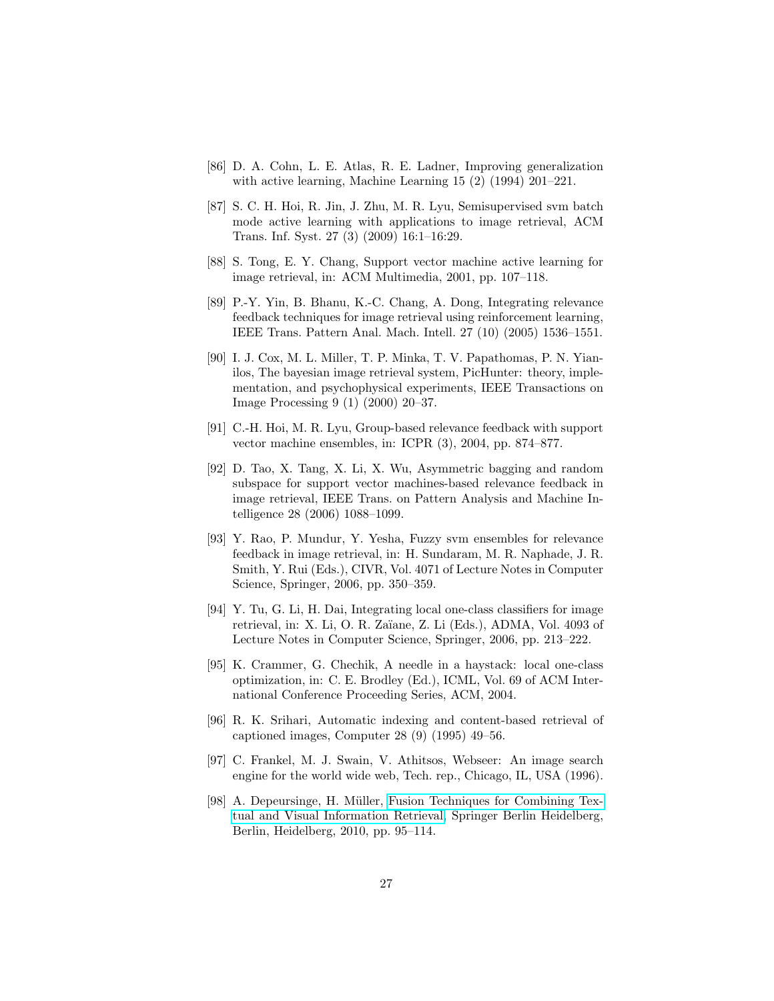- <span id="page-26-0"></span>[86] D. A. Cohn, L. E. Atlas, R. E. Ladner, Improving generalization with active learning, Machine Learning 15 (2) (1994) 201–221.
- <span id="page-26-1"></span>[87] S. C. H. Hoi, R. Jin, J. Zhu, M. R. Lyu, Semisupervised svm batch mode active learning with applications to image retrieval, ACM Trans. Inf. Syst. 27 (3) (2009) 16:1–16:29.
- <span id="page-26-2"></span>[88] S. Tong, E. Y. Chang, Support vector machine active learning for image retrieval, in: ACM Multimedia, 2001, pp. 107–118.
- <span id="page-26-3"></span>[89] P.-Y. Yin, B. Bhanu, K.-C. Chang, A. Dong, Integrating relevance feedback techniques for image retrieval using reinforcement learning, IEEE Trans. Pattern Anal. Mach. Intell. 27 (10) (2005) 1536–1551.
- <span id="page-26-4"></span>[90] I. J. Cox, M. L. Miller, T. P. Minka, T. V. Papathomas, P. N. Yianilos, The bayesian image retrieval system, PicHunter: theory, implementation, and psychophysical experiments, IEEE Transactions on Image Processing 9 (1) (2000) 20–37.
- <span id="page-26-5"></span>[91] C.-H. Hoi, M. R. Lyu, Group-based relevance feedback with support vector machine ensembles, in: ICPR (3), 2004, pp. 874–877.
- <span id="page-26-6"></span>[92] D. Tao, X. Tang, X. Li, X. Wu, Asymmetric bagging and random subspace for support vector machines-based relevance feedback in image retrieval, IEEE Trans. on Pattern Analysis and Machine Intelligence 28 (2006) 1088–1099.
- <span id="page-26-7"></span>[93] Y. Rao, P. Mundur, Y. Yesha, Fuzzy svm ensembles for relevance feedback in image retrieval, in: H. Sundaram, M. R. Naphade, J. R. Smith, Y. Rui (Eds.), CIVR, Vol. 4071 of Lecture Notes in Computer Science, Springer, 2006, pp. 350–359.
- <span id="page-26-8"></span>[94] Y. Tu, G. Li, H. Dai, Integrating local one-class classifiers for image retrieval, in: X. Li, O. R. Za¨ıane, Z. Li (Eds.), ADMA, Vol. 4093 of Lecture Notes in Computer Science, Springer, 2006, pp. 213–222.
- <span id="page-26-9"></span>[95] K. Crammer, G. Chechik, A needle in a haystack: local one-class optimization, in: C. E. Brodley (Ed.), ICML, Vol. 69 of ACM International Conference Proceeding Series, ACM, 2004.
- <span id="page-26-10"></span>[96] R. K. Srihari, Automatic indexing and content-based retrieval of captioned images, Computer 28 (9) (1995) 49–56.
- <span id="page-26-11"></span>[97] C. Frankel, M. J. Swain, V. Athitsos, Webseer: An image search engine for the world wide web, Tech. rep., Chicago, IL, USA (1996).
- <span id="page-26-12"></span>[98] A. Depeursinge, H. Müller, [Fusion Techniques for Combining Tex](http://dx.doi.org/10.1007/978-3-642-15181-1_6)[tual and Visual Information Retrieval,](http://dx.doi.org/10.1007/978-3-642-15181-1_6) Springer Berlin Heidelberg, Berlin, Heidelberg, 2010, pp. 95–114.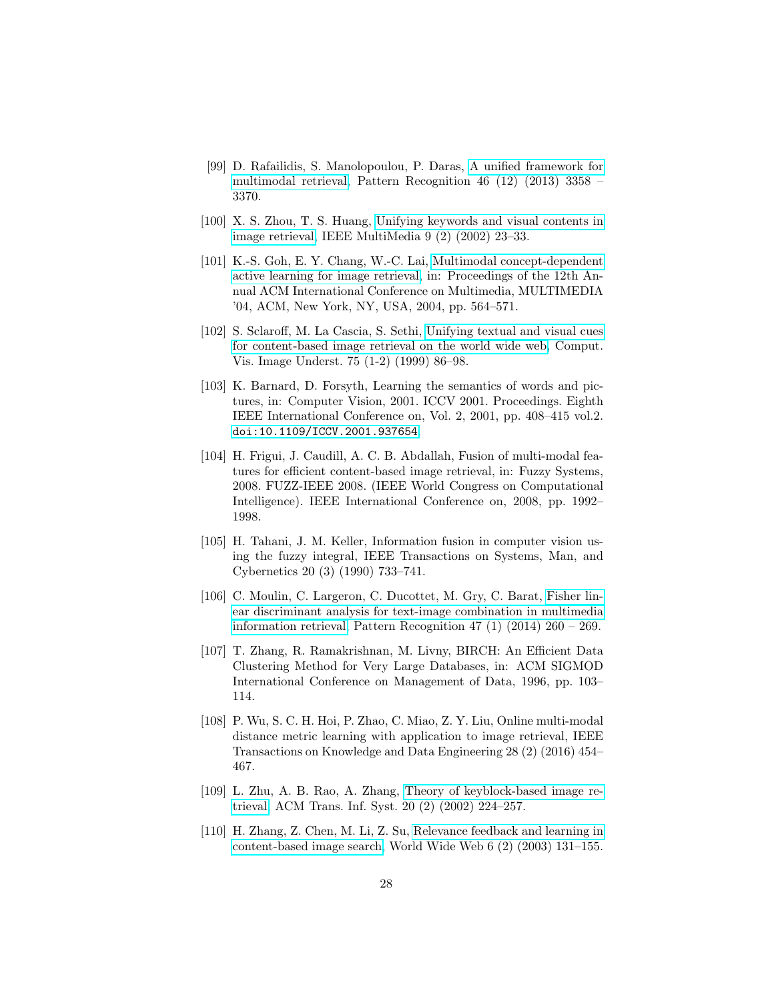- <span id="page-27-0"></span>[99] D. Rafailidis, S. Manolopoulou, P. Daras, [A unified framework for](http://www.sciencedirect.com/science/article/pii/S0031320313002471) [multimodal retrieval,](http://www.sciencedirect.com/science/article/pii/S0031320313002471) Pattern Recognition 46 (12) (2013) 3358 – 3370.
- <span id="page-27-1"></span>[100] X. S. Zhou, T. S. Huang, [Unifying keywords and visual contents in](http://dx.doi.org/10.1109/93.998050) [image retrieval,](http://dx.doi.org/10.1109/93.998050) IEEE MultiMedia 9 (2) (2002) 23–33.
- <span id="page-27-2"></span>[101] K.-S. Goh, E. Y. Chang, W.-C. Lai, [Multimodal concept-dependent](http://doi.acm.org/10.1145/1027527.1027664) [active learning for image retrieval,](http://doi.acm.org/10.1145/1027527.1027664) in: Proceedings of the 12th Annual ACM International Conference on Multimedia, MULTIMEDIA '04, ACM, New York, NY, USA, 2004, pp. 564–571.
- <span id="page-27-3"></span>[102] S. Sclaroff, M. La Cascia, S. Sethi, [Unifying textual and visual cues](http://dx.doi.org/10.1006/cviu.1999.0765) [for content-based image retrieval on the world wide web,](http://dx.doi.org/10.1006/cviu.1999.0765) Comput. Vis. Image Underst. 75 (1-2) (1999) 86–98.
- <span id="page-27-4"></span>[103] K. Barnard, D. Forsyth, Learning the semantics of words and pictures, in: Computer Vision, 2001. ICCV 2001. Proceedings. Eighth IEEE International Conference on, Vol. 2, 2001, pp. 408–415 vol.2. [doi:10.1109/ICCV.2001.937654](http://dx.doi.org/10.1109/ICCV.2001.937654).
- <span id="page-27-5"></span>[104] H. Frigui, J. Caudill, A. C. B. Abdallah, Fusion of multi-modal features for efficient content-based image retrieval, in: Fuzzy Systems, 2008. FUZZ-IEEE 2008. (IEEE World Congress on Computational Intelligence). IEEE International Conference on, 2008, pp. 1992– 1998.
- <span id="page-27-6"></span>[105] H. Tahani, J. M. Keller, Information fusion in computer vision using the fuzzy integral, IEEE Transactions on Systems, Man, and Cybernetics 20 (3) (1990) 733–741.
- <span id="page-27-7"></span>[106] C. Moulin, C. Largeron, C. Ducottet, M. Gry, C. Barat, [Fisher lin](http://www.sciencedirect.com/science/article/pii/S0031320313002550)[ear discriminant analysis for text-image combination in multimedia](http://www.sciencedirect.com/science/article/pii/S0031320313002550) [information retrieval,](http://www.sciencedirect.com/science/article/pii/S0031320313002550) Pattern Recognition 47 (1) (2014) 260 – 269.
- <span id="page-27-8"></span>[107] T. Zhang, R. Ramakrishnan, M. Livny, BIRCH: An Efficient Data Clustering Method for Very Large Databases, in: ACM SIGMOD International Conference on Management of Data, 1996, pp. 103– 114.
- <span id="page-27-9"></span>[108] P. Wu, S. C. H. Hoi, P. Zhao, C. Miao, Z. Y. Liu, Online multi-modal distance metric learning with application to image retrieval, IEEE Transactions on Knowledge and Data Engineering 28 (2) (2016) 454– 467.
- <span id="page-27-10"></span>[109] L. Zhu, A. B. Rao, A. Zhang, [Theory of keyblock-based image re](http://doi.acm.org/10.1145/506309.506313)[trieval,](http://doi.acm.org/10.1145/506309.506313) ACM Trans. Inf. Syst. 20 (2) (2002) 224–257.
- <span id="page-27-11"></span>[110] H. Zhang, Z. Chen, M. Li, Z. Su, [Relevance feedback and learning in](http://dx.doi.org/10.1023/A:1023618504691) [content-based image search,](http://dx.doi.org/10.1023/A:1023618504691) World Wide Web 6 (2) (2003) 131–155.